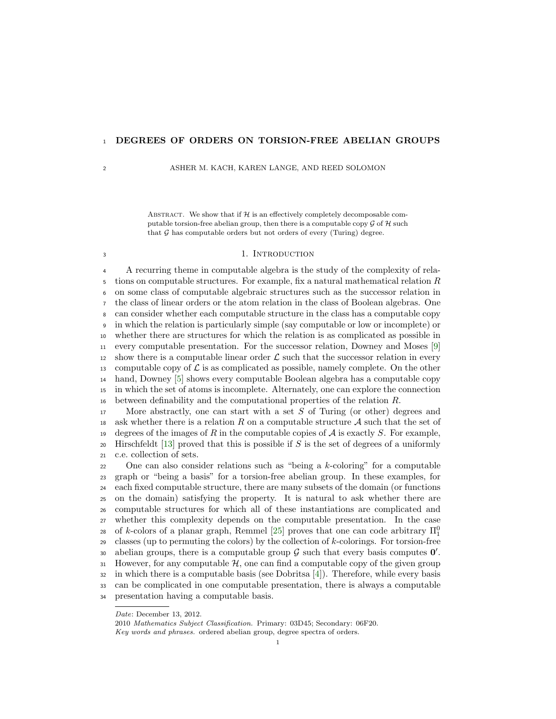# <sup>1</sup> DEGREES OF ORDERS ON TORSION-FREE ABELIAN GROUPS

2 ASHER M. KACH, KAREN LANGE, AND REED SOLOMON

ABSTRACT. We show that if  $H$  is an effectively completely decomposable computable torsion-free abelian group, then there is a computable copy  $\mathcal G$  of  $\mathcal H$  such that  $G$  has computable orders but not orders of every (Turing) degree.

## <span id="page-0-0"></span><sup>3</sup> 1. INTRODUCTION

 A recurring theme in computable algebra is the study of the complexity of rela- $\frac{1}{5}$  tions on computable structures. For example, fix a natural mathematical relation R on some class of computable algebraic structures such as the successor relation in the class of linear orders or the atom relation in the class of Boolean algebras. One can consider whether each computable structure in the class has a computable copy in which the relation is particularly simple (say computable or low or incomplete) or whether there are structures for which the relation is as complicated as possible in every computable presentation. For the successor relation, Downey and Moses [\[9\]](#page-19-0) 12 show there is a computable linear order  $\mathcal L$  such that the successor relation in every 13 computable copy of  $\mathcal L$  is as complicated as possible, namely complete. On the other hand, Downey [\[5\]](#page-19-1) shows every computable Boolean algebra has a computable copy in which the set of atoms is incomplete. Alternately, one can explore the connection 16 between definability and the computational properties of the relation  $R$ .

17 More abstractly, one can start with a set  $S$  of Turing (or other) degrees and 18 ask whether there is a relation R on a computable structure A such that the set of 19 degrees of the images of R in the computable copies of  $\mathcal A$  is exactly S. For example, 20 Hirschfeldt [\[13\]](#page-20-0) proved that this is possible if  $S$  is the set of degrees of a uniformly <sup>21</sup> c.e. collection of sets.

22 One can also consider relations such as "being a  $k$ -coloring" for a computable <sup>23</sup> graph or "being a basis" for a torsion-free abelian group. In these examples, for <sup>24</sup> each fixed computable structure, there are many subsets of the domain (or functions <sup>25</sup> on the domain) satisfying the property. It is natural to ask whether there are <sup>26</sup> computable structures for which all of these instantiations are complicated and <sup>27</sup> whether this complexity depends on the computable presentation. In the case of k-colors of a planar graph, Remmel [\[25\]](#page-20-1) proves that one can code arbitrary  $\Pi_1^0$ 28 29 classes (up to permuting the colors) by the collection of  $k$ -colorings. For torsion-free so abelian groups, there is a computable group  $\mathcal G$  such that every basis computes  $\mathbf 0'$ . 31 However, for any computable  $H$ , one can find a computable copy of the given group  $32$  in which there is a computable basis (see Dobritsa [\[4\]](#page-19-2)). Therefore, while every basis <sup>33</sup> can be complicated in one computable presentation, there is always a computable <sup>34</sup> presentation having a computable basis.

Date: December 13, 2012.

<sup>2010</sup> Mathematics Subject Classification. Primary: 03D45; Secondary: 06F20. Key words and phrases. ordered abelian group, degree spectra of orders.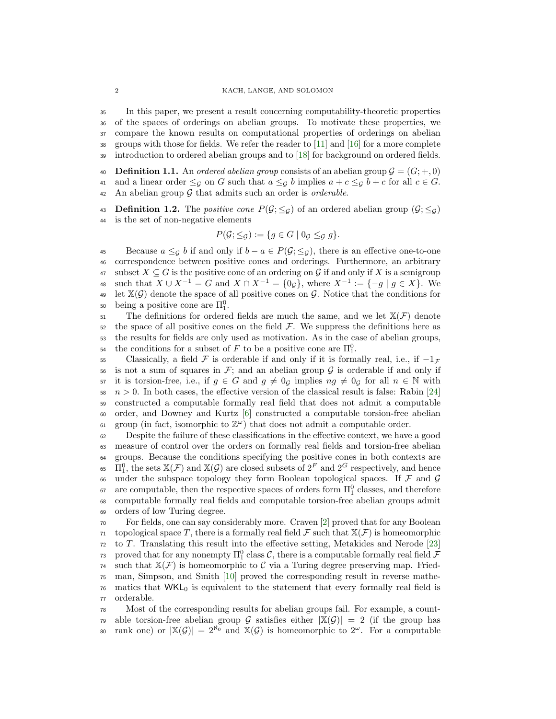In this paper, we present a result concerning computability-theoretic properties of the spaces of orderings on abelian groups. To motivate these properties, we compare the known results on computational properties of orderings on abelian groups with those for fields. We refer the reader to [\[11\]](#page-19-3) and [\[16\]](#page-20-2) for a more complete introduction to ordered abelian groups and to [\[18\]](#page-20-3) for background on ordered fields.

40 Definition 1.1. An ordered abelian group consists of an abelian group  $\mathcal{G} = (G; +, 0)$ 41 and a linear order  $\leq_{\mathcal{G}}$  on G such that  $a \leq_{\mathcal{G}} b$  implies  $a + c \leq_{\mathcal{G}} b + c$  for all  $c \in G$ . 42 An abelian group  $G$  that admits such an order is *orderable*.

43 **Definition 1.2.** The *positive cone*  $P(\mathcal{G}; \leq_{\mathcal{G}})$  of an ordered abelian group  $(\mathcal{G}; \leq_{\mathcal{G}})$ <sup>44</sup> is the set of non-negative elements

$$
P(\mathcal{G}; \leq_{\mathcal{G}}) := \{ g \in G \mid 0_{\mathcal{G}} \leq_{\mathcal{G}} g \}.
$$

45 Because  $a \leq_{\mathcal{G}} b$  if and only if  $b - a \in P(\mathcal{G}; \leq_{\mathcal{G}})$ , there is an effective one-to-one <sup>46</sup> correspondence between positive cones and orderings. Furthermore, an arbitrary 47 subset  $X \subseteq G$  is the positive cone of an ordering on G if and only if X is a semigroup 48 such that  $X \cup X^{-1} = G$  and  $X \cap X^{-1} = \{0_{\mathcal{G}}\}$ , where  $X^{-1} := \{-g \mid g \in X\}$ . We 49 let  $\mathbb{X}(\mathcal{G})$  denote the space of all positive cones on  $\mathcal{G}$ . Notice that the conditions for being a positive cone are  $\Pi_1^0$ .

 $\mathfrak{so}$  The definitions for ordered fields are much the same, and we let  $\mathbb{X}(\mathcal{F})$  denote  $52$  the space of all positive cones on the field  $\mathcal{F}$ . We suppress the definitions here as <sup>53</sup> the results for fields are only used as motivation. As in the case of abelian groups, <sup>54</sup> the conditions for a subset of F to be a positive cone are  $\Pi_1^0$ .

55 Classically, a field F is orderable if and only if it is formally real, i.e., if  $-1<sub>F</sub>$ 56 is not a sum of squares in  $\mathcal{F}$ ; and an abelian group  $\mathcal{G}$  is orderable if and only if 57 it is torsion-free, i.e., if  $g \in G$  and  $g \neq 0_G$  implies  $ng \neq 0_G$  for all  $n \in \mathbb{N}$  with  $58 \text{ } n > 0$ . In both cases, the effective version of the classical result is false: Rabin [\[24\]](#page-20-4) <sup>59</sup> constructed a computable formally real field that does not admit a computable <sup>60</sup> order, and Downey and Kurtz [\[6\]](#page-19-4) constructed a computable torsion-free abelian  $_{61}$  group (in fact, isomorphic to  $\mathbb{Z}^{\omega}$ ) that does not admit a computable order.

 Despite the failure of these classifications in the effective context, we have a good measure of control over the orders on formally real fields and torsion-free abelian groups. Because the conditions specifying the positive cones in both contexts are <sup>65</sup>  $\Pi_1^0$ , the sets  $\mathbb{X}(\mathcal{F})$  and  $\mathbb{X}(\mathcal{G})$  are closed subsets of  $2^F$  and  $2^G$  respectively, and hence 66 under the subspace topology they form Boolean topological spaces. If  $\mathcal F$  and  $\mathcal G$  $\epsilon_7$  are computable, then the respective spaces of orders form  $\Pi_1^0$  classes, and therefore computable formally real fields and computable torsion-free abelian groups admit orders of low Turing degree.

 For fields, one can say considerably more. Craven [\[2\]](#page-19-5) proved that for any Boolean topological space T, there is a formally real field F such that  $\mathbb{X}(\mathcal{F})$  is homeomorphic  $72 \text{ to } T$ . Translating this result into the effective setting, Metakides and Nerode [\[23\]](#page-20-5) <sup>73</sup> proved that for any nonempty  $\Pi^0_1$  class  $\mathcal C$ , there is a computable formally real field  $\mathcal F$ <sup>74</sup> such that  $\mathbb{X}(\mathcal{F})$  is homeomorphic to C via a Turing degree preserving map. Fried- man, Simpson, and Smith [\[10\]](#page-19-6) proved the corresponding result in reverse mathe- matics that  $WKL_0$  is equivalent to the statement that every formally real field is orderable.

<sup>78</sup> Most of the corresponding results for abelian groups fail. For example, a count-<sup>79</sup> able torsion-free abelian group G satisfies either  $|\mathbb{X}(\mathcal{G})|=2$  (if the group has so rank one) or  $|\mathbb{X}(\mathcal{G})| = 2^{\aleph_0}$  and  $\mathbb{X}(\mathcal{G})$  is homeomorphic to  $2^\omega$ . For a computable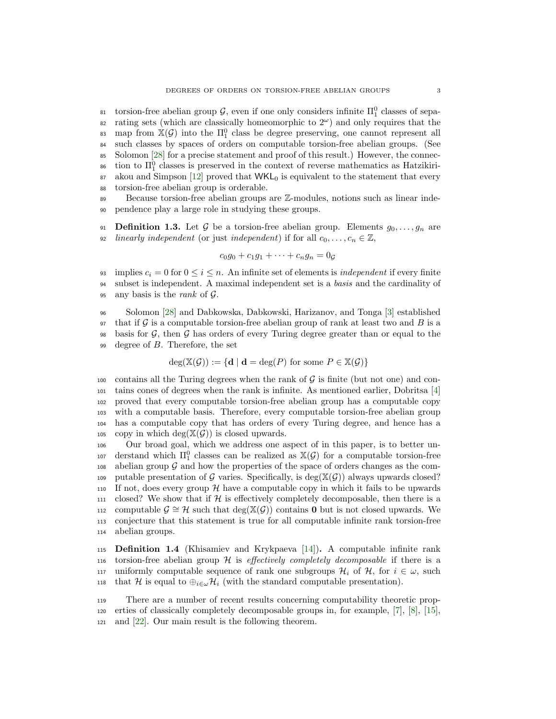$\alpha$  torsion-free abelian group *G*, even if one only considers infinite  $\Pi_1^0$  classes of sepa- $\epsilon_2$  rating sets (which are classically homeomorphic to  $2^{\omega}$ ) and only requires that the as map from  $\mathbb{X}(\mathcal{G})$  into the  $\Pi_1^0$  class be degree preserving, one cannot represent all <sup>84</sup> such classes by spaces of orders on computable torsion-free abelian groups. (See <sup>85</sup> Solomon [\[28\]](#page-20-6) for a precise statement and proof of this result.) However, the connec- $\delta$ <sub>6</sub> tion to  $\Pi_1^0$  classes is preserved in the context of reverse mathematics as Hatzikiri- $87$  akou and Simpson [\[12\]](#page-20-7) proved that  $WKL_0$  is equivalent to the statement that every <sup>88</sup> torsion-free abelian group is orderable.

<sup>89</sup> Because torsion-free abelian groups are Z-modules, notions such as linear inde-<sup>90</sup> pendence play a large role in studying these groups.

91 **Definition 1.3.** Let G be a torsion-free abelian group. Elements  $g_0, \ldots, g_n$  are 92 linearly independent (or just independent) if for all  $c_0, \ldots, c_n \in \mathbb{Z}$ ,

$$
c_0g_0 + c_1g_1 + \cdots + c_ng_n = 0
$$

93 implies  $c_i = 0$  for  $0 \leq i \leq n$ . An infinite set of elements is *independent* if every finite <sup>94</sup> subset is independent. A maximal independent set is a basis and the cardinality of 95 any basis is the *rank* of  $\mathcal{G}$ .

<sup>96</sup> Solomon [\[28\]](#page-20-6) and Dabkowska, Dabkowski, Harizanov, and Tonga [\[3\]](#page-19-7) established 97 that if  $\mathcal G$  is a computable torsion-free abelian group of rank at least two and  $B$  is a 98 basis for  $\mathcal{G}$ , then  $\mathcal{G}$  has orders of every Turing degree greater than or equal to the  $99$  degree of  $B$ . Therefore, the set

$$
\deg(\mathbb{X}(\mathcal{G})) := \{ \mathbf{d} \mid \mathbf{d} = \deg(P) \text{ for some } P \in \mathbb{X}(\mathcal{G}) \}
$$

100 contains all the Turing degrees when the rank of  $\mathcal G$  is finite (but not one) and con- tains cones of degrees when the rank is infinite. As mentioned earlier, Dobritsa [\[4\]](#page-19-2) proved that every computable torsion-free abelian group has a computable copy with a computable basis. Therefore, every computable torsion-free abelian group has a computable copy that has orders of every Turing degree, and hence has a 105 copy in which deg( $\mathbb{X}(\mathcal{G})$ ) is closed upwards.

<sup>106</sup> Our broad goal, which we address one aspect of in this paper, is to better un-107 derstand which  $\Pi_1^0$  classes can be realized as  $\mathbb{X}(\mathcal{G})$  for a computable torsion-free 108 abelian group  $\mathcal G$  and how the properties of the space of orders changes as the com-109 putable presentation of G varies. Specifically, is deg( $\mathbb{X}(\mathcal{G})$ ) always upwards closed? 110 If not, does every group  $H$  have a computable copy in which it fails to be upwards 111 closed? We show that if  $H$  is effectively completely decomposable, then there is a 112 computable  $\mathcal{G} \cong \mathcal{H}$  such that deg(X( $\mathcal{G}$ )) contains **0** but is not closed upwards. We <sup>113</sup> conjecture that this statement is true for all computable infinite rank torsion-free <sup>114</sup> abelian groups.

<sup>115</sup> Definition 1.4 (Khisamiev and Krykpaeva [\[14\]](#page-20-8)). A computable infinite rank 116 torsion-free abelian group  $H$  is *effectively completely decomposable* if there is a 117 uniformly computable sequence of rank one subgroups  $\mathcal{H}_i$  of  $\mathcal{H}$ , for  $i \in \omega$ , such 118 that H is equal to  $\bigoplus_{i\in\omega}\mathcal{H}_i$  (with the standard computable presentation).

<sup>119</sup> There are a number of recent results concerning computability theoretic prop-<sup>120</sup> erties of classically completely decomposable groups in, for example, [\[7\]](#page-19-8), [\[8\]](#page-19-9), [\[15\]](#page-20-9), <sup>121</sup> and [\[22\]](#page-20-10). Our main result is the following theorem.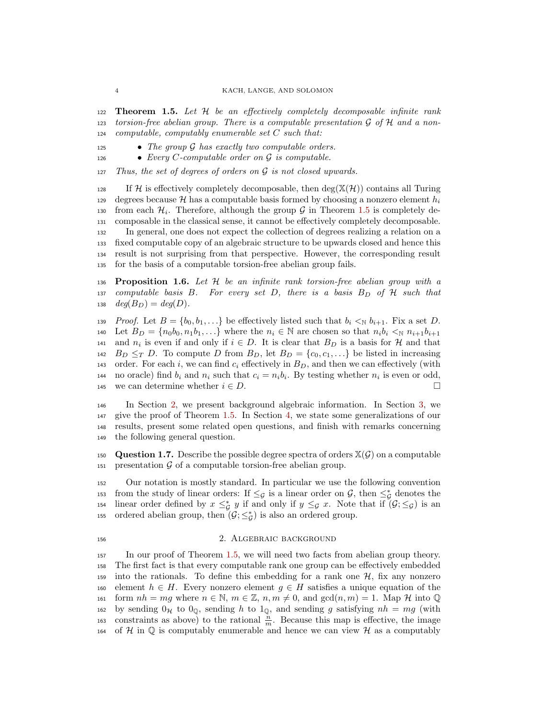<span id="page-3-0"></span>122 **Theorem 1.5.** Let  $H$  be an effectively completely decomposable infinite rank 123 torsion-free abelian group. There is a computable presentation  $\mathcal G$  of  $\mathcal H$  and a non-<sup>124</sup> computable, computably enumerable set C such that:

125 • The group  $G$  has exactly two computable orders.

126 • Every C-computable order on  $\mathcal G$  is computable.

 $127$  Thus, the set of degrees of orders on  $\mathcal G$  is not closed upwards.

128 If H is effectively completely decomposable, then deg( $\mathbb{X}(\mathcal{H})$ ) contains all Turing 129 degrees because H has a computable basis formed by choosing a nonzero element  $h_i$ from each  $\mathcal{H}_i$ . Therefore, although the group G in Theorem [1.5](#page-3-0) is completely de- composable in the classical sense, it cannot be effectively completely decomposable. In general, one does not expect the collection of degrees realizing a relation on a fixed computable copy of an algebraic structure to be upwards closed and hence this result is not surprising from that perspective. However, the corresponding result for the basis of a computable torsion-free abelian group fails.

136 **Proposition 1.6.** Let  $H$  be an infinite rank torsion-free abelian group with a 137 computable basis B. For every set D, there is a basis  $B_D$  of  $H$  such that 138  $deg(B_D) = deg(D)$ .

139 Proof. Let  $B = \{b_0, b_1, \ldots\}$  be effectively listed such that  $b_i \leq N b_{i+1}$ . Fix a set D. 140 Let  $B_D = \{n_0b_0, n_1b_1, \ldots\}$  where the  $n_i \in \mathbb{N}$  are chosen so that  $n_i b_i \leq_{\mathbb{N}} n_{i+1}b_{i+1}$ <sup>141</sup> and  $n_i$  is even if and only if  $i \in D$ . It is clear that  $B_D$  is a basis for H and that 142 B<sub>D</sub>  $\leq_T D$ . To compute D from B<sub>D</sub>, let  $B_D = \{c_0, c_1, \ldots\}$  be listed in increasing 143 order. For each i, we can find  $c_i$  effectively in  $B_D$ , and then we can effectively (with 144 no oracle) find  $b_i$  and  $n_i$  such that  $c_i = n_i b_i$ . By testing whether  $n_i$  is even or odd, 145 we can determine whether  $i \in D$ .

 In Section [2,](#page-3-1) we present background algebraic information. In Section [3,](#page-4-0) we give the proof of Theorem [1.5.](#page-3-0) In Section [4,](#page-17-0) we state some generalizations of our results, present some related open questions, and finish with remarks concerning the following general question.

150 Question 1.7. Describe the possible degree spectra of orders  $\mathbb{X}(\mathcal{G})$  on a computable 151 presentation  $\mathcal G$  of a computable torsion-free abelian group.

<sup>152</sup> Our notation is mostly standard. In particular we use the following convention 153 from the study of linear orders: If  $\leq_{\mathcal{G}}$  is a linear order on  $\mathcal{G}$ , then  $\leq^*_{\mathcal{G}}$  denotes the 154 linear order defined by  $x \leq^*_\mathcal{G} y$  if and only if  $y \leq_\mathcal{G} x$ . Note that if  $(\mathcal{G}; \leq_\mathcal{G})$  is an 155 ordered abelian group, then  $(\mathcal{G}; \leq^*_{\mathcal{G}})$  is also an ordered group.

### <span id="page-3-1"></span>156 2. ALGEBRAIC BACKGROUND

<sup>157</sup> In our proof of Theorem [1.5,](#page-3-0) we will need two facts from abelian group theory. <sup>158</sup> The first fact is that every computable rank one group can be effectively embedded 159 into the rationals. To define this embedding for a rank one  $H$ , fix any nonzero 160 element  $h \in H$ . Every nonzero element  $g \in H$  satisfies a unique equation of the 161 form  $nh = mg$  where  $n \in \mathbb{N}$ ,  $m \in \mathbb{Z}$ ,  $n, m \neq 0$ , and  $gcd(n, m) = 1$ . Map H into Q 162 by sending  $0_{\mathcal{H}}$  to  $0_{\mathbb{Q}}$ , sending h to  $1_{\mathbb{Q}}$ , and sending g satisfying  $nh = mg$  (with to constraints as above) to the rational  $\frac{n}{m}$ . Because this map is effective, the image 164 of H in  $\mathbb Q$  is computably enumerable and hence we can view H as a computably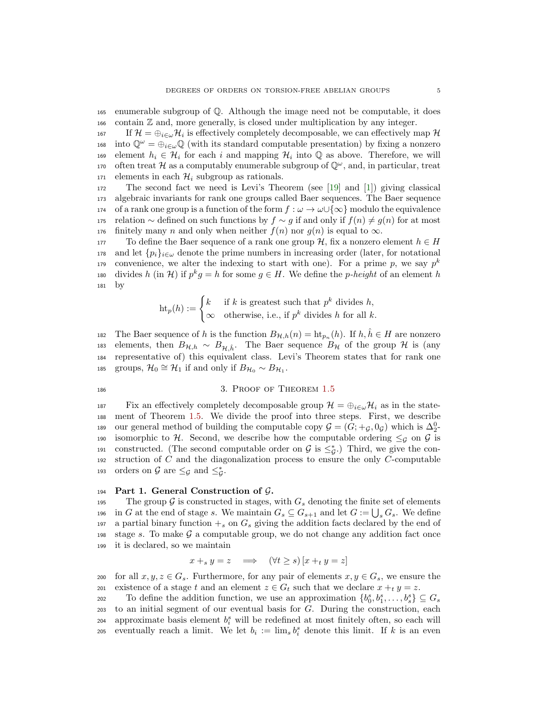<sup>165</sup> enumerable subgroup of Q. Although the image need not be computable, it does <sup>166</sup> contain Z and, more generally, is closed under multiplication by any integer.

167 If  $\mathcal{H} = \bigoplus_{i \in \omega} \mathcal{H}_i$  is effectively completely decomposable, we can effectively map  $\mathcal{H}$ 168 into  $\mathbb{Q}^{\omega} = \bigoplus_{i \in \omega} \mathbb{Q}$  (with its standard computable presentation) by fixing a nonzero element  $h_i \in \mathcal{H}_i$  for each i and mapping  $\mathcal{H}_i$  into  $\mathbb Q$  as above. Therefore, we will often treat H as a computably enumerable subgroup of  $\mathbb{Q}^{\omega}$ , and, in particular, treat 171 elements in each  $\mathcal{H}_i$  subgroup as rationals.

<sup>172</sup> The second fact we need is Levi's Theorem (see [\[19\]](#page-20-11) and [\[1\]](#page-19-10)) giving classical <sup>173</sup> algebraic invariants for rank one groups called Baer sequences. The Baer sequence 174 of a rank one group is a function of the form  $f : \omega \to \omega \cup {\infty}$  modulo the equivalence 175 relation ∼ defined on such functions by  $f \sim g$  if and only if  $f(n) \neq g(n)$  for at most 176 finitely many n and only when neither  $f(n)$  nor  $g(n)$  is equal to  $\infty$ .

177 To define the Baer sequence of a rank one group H, fix a nonzero element  $h \in H$ 178 and let  $\{p_i\}_{i\in\omega}$  denote the prime numbers in increasing order (later, for notational convenience, we alter the indexing to start with one). For a prime p, we say  $p^k$ 179 180 divides h (in H) if  $p^k g = h$  for some  $g \in H$ . We define the p-height of an element h <sup>181</sup> by

$$
ht_p(h) := \begin{cases} k & \text{if } k \text{ is greatest such that } p^k \text{ divides } h, \\ \infty & \text{otherwise, i.e., if } p^k \text{ divides } h \text{ for all } k. \end{cases}
$$

182 The Baer sequence of h is the function  $B_{\mathcal{H},h}(n) = \text{ht}_{p_n}(h)$ . If  $h, \hat{h} \in H$  are nonzero 183 elements, then  $B_{\mathcal{H},h} \sim B_{\mathcal{H},\hat{h}}$ . The Baer sequence  $B_{\mathcal{H}}$  of the group  $\mathcal{H}$  is (any <sup>184</sup> representative of) this equivalent class. Levi's Theorem states that for rank one 185 groups,  $\mathcal{H}_0 \cong \mathcal{H}_1$  if and only if  $B_{\mathcal{H}_0} \sim B_{\mathcal{H}_1}$ .

## <span id="page-4-0"></span>186 3. PROOF OF THEOREM [1.5](#page-3-0)

187 Fix an effectively completely decomposable group  $\mathcal{H} = \bigoplus_{i \in \omega} \mathcal{H}_i$  as in the state-<sup>188</sup> ment of Theorem [1.5.](#page-3-0) We divide the proof into three steps. First, we describe 189 our general method of building the computable copy  $\mathcal{G} = (G; +_{\mathcal{G}}, 0_{\mathcal{G}})$  which is  $\Delta_2^0$ -190 isomorphic to H. Second, we describe how the computable ordering  $\leq_g$  on G is 191 constructed. (The second computable order on  $\mathcal{G}$  is  $\leq_{\mathcal{G}}^*$ .) Third, we give the con-192 struction of  $C$  and the diagonalization process to ensure the only  $C$ -computable 193 orders on  $\mathcal G$  are  $\leq_{\mathcal G}$  and  $\leq_{\mathcal G}^*$ .

#### 194 Part 1. General Construction of  $\mathcal{G}$ .

195 The group G is constructed in stages, with  $G_s$  denoting the finite set of elements 196 in G at the end of stage s. We maintain  $G_s \subseteq G_{s+1}$  and let  $G := \bigcup_s G_s$ . We define 197 a partial binary function  $+_s$  on  $G_s$  giving the addition facts declared by the end of 198 stage s. To make  $\mathcal G$  a computable group, we do not change any addition fact once <sup>199</sup> it is declared, so we maintain

$$
x +_s y = z \implies (\forall t \ge s) [x +_t y = z]
$$

200 for all  $x, y, z \in G_s$ . Furthermore, for any pair of elements  $x, y \in G_s$ , we ensure the 201 existence of a stage t and an element  $z \in G_t$  such that we declare  $x +_t y = z$ .

202 To define the addition function, we use an approximation  $\{b_0^s, b_1^s, \ldots, b_s^s\} \subseteq G_s$ <sup>203</sup> to an initial segment of our eventual basis for G. During the construction, each 204 approximate basis element  $b_i^s$  will be redefined at most finitely often, so each will 205 eventually reach a limit. We let  $b_i := \lim_s b_i^s$  denote this limit. If k is an even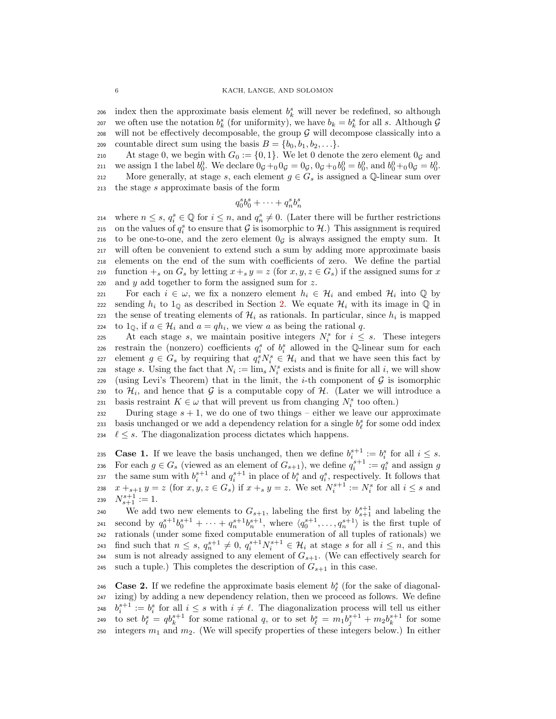206 index then the approximate basis element  $b_k^s$  will never be redefined, so although 207 we often use the notation  $b_k^s$  (for uniformity), we have  $b_k = b_k^s$  for all s. Although G  $208$  will not be effectively decomposable, the group  $\mathcal G$  will decompose classically into a 209 countable direct sum using the basis  $B = \{b_0, b_1, b_2, \ldots\}.$ 

210 At stage 0, we begin with  $G_0 := \{0, 1\}$ . We let 0 denote the zero element  $0_G$  and 211 we assign 1 the label  $b_0^0$ . We declare  $0_g +_0 0_g = 0_g$ ,  $0_g +_0 b_0^0 = b_0^0$ , and  $b_0^0 +_0 0_g = b_0^0$ . 212 More generally, at stage s, each element  $g \in G_s$  is assigned a Q-linear sum over <sup>213</sup> the stage s approximate basis of the form

$$
q_0^s b_0^s + \cdots + q_n^s b_n^s
$$

214 where  $n \leq s, q_i^s \in \mathbb{Q}$  for  $i \leq n$ , and  $q_n^s \neq 0$ . (Later there will be further restrictions 215 on the values of  $q_i^s$  to ensure that G is isomorphic to H.) This assignment is required 216 to be one-to-one, and the zero element  $0<sub>G</sub>$  is always assigned the empty sum. It <sup>217</sup> will often be convenient to extend such a sum by adding more approximate basis <sup>218</sup> elements on the end of the sum with coefficients of zero. We define the partial 219 function  $+_s$  on  $G_s$  by letting  $x +_s y = z$  (for  $x, y, z \in G_s$ ) if the assigned sums for x <sup>220</sup> and y add together to form the assigned sum for z.

For each  $i \in \omega$ , we fix a nonzero element  $h_i \in \mathcal{H}_i$  and embed  $\mathcal{H}_i$  into  $\mathbb Q$  by 222 sending  $h_i$  to  $1_\mathbb{Q}$  as described in Section [2.](#page-3-1) We equate  $\mathcal{H}_i$  with its image in  $\mathbb{Q}$  in the sense of treating elements of  $\mathcal{H}_i$  as rationals. In particular, since  $h_i$  is mapped 224 to  $1_{\mathbb{Q}}$ , if  $a \in \mathcal{H}_i$  and  $a = qh_i$ , we view a as being the rational q.

225 At each stage s, we maintain positive integers  $N_i^s$  for  $i \leq s$ . These integers 226 restrain the (nonzero) coefficients  $q_i^s$  of  $b_i^s$  allowed in the Q-linear sum for each 227 element  $g \in G_s$  by requiring that  $q_i^s N_i^s \in \mathcal{H}_i$  and that we have seen this fact by 228 stage s. Using the fact that  $N_i := \lim_s N_i^s$  exists and is finite for all i, we will show 229 (using Levi's Theorem) that in the limit, the *i*-th component of  $\mathcal G$  is isomorphic 230 to  $\mathcal{H}_i$ , and hence that G is a computable copy of  $\mathcal{H}_i$ . (Later we will introduce a 231 basis restraint  $K \in \omega$  that will prevent us from changing  $N_i^s$  too often.)

232 During stage  $s + 1$ , we do one of two things – either we leave our approximate 233 basis unchanged or we add a dependency relation for a single  $b_{\ell}^{s}$  for some odd index 234  $\ell \leq s$ . The diagonalization process dictates which happens.

235 **Case 1.** If we leave the basis unchanged, then we define  $b_i^{s+1} := b_i^s$  for all  $i \leq s$ . 236 For each  $g \in G_s$  (viewed as an element of  $G_{s+1}$ ), we define  $q_i^{s+1} := q_i^s$  and assign g 237 the same sum with  $b_i^{s+1}$  and  $q_i^{s+1}$  in place of  $b_i^s$  and  $q_i^s$ , respectively. It follows that 238  $x +_{s+1} y = z$  (for  $x, y, z \in G_s$ ) if  $x +_s y = z$ . We set  $N_i^{s+1} := N_i^s$  for all  $i \leq s$  and  $N_{s+1}^{s+1} := 1.$ 

240 We add two new elements to  $G_{s+1}$ , labeling the first by  $b_{s+1}^{s+1}$  and labeling the 241 second by  $q_0^{s+1}b_0^{s+1} + \cdots + q_n^{s+1}b_n^{s+1}$ , where  $\langle q_0^{s+1}, \ldots, q_n^{s+1} \rangle$  is the first tuple of <sup>242</sup> rationals (under some fixed computable enumeration of all tuples of rationals) we 243 find such that  $n \leq s$ ,  $q_n^{s+1} \neq 0$ ,  $q_i^{s+1} N_i^{s+1} \in \mathcal{H}_i$  at stage s for all  $i \leq n$ , and this <sup>244</sup> sum is not already assigned to any element of  $G_{s+1}$ . (We can effectively search for 245 such a tuple.) This completes the description of  $G_{s+1}$  in this case.

246 Case 2. If we redefine the approximate basis element  $b_{\ell}^{s}$  (for the sake of diagonal-<sup>247</sup> izing) by adding a new dependency relation, then we proceed as follows. We define <sup>248</sup>  $b_i^{s+1} := b_i^s$  for all  $i \leq s$  with  $i \neq \ell$ . The diagonalization process will tell us either 249 to set  $b_{\ell}^s = qb_{k}^{s+1}$  for some rational q, or to set  $b_{\ell}^s = m_1b_j^{s+1} + m_2b_k^{s+1}$  for some 250 integers  $m_1$  and  $m_2$ . (We will specify properties of these integers below.) In either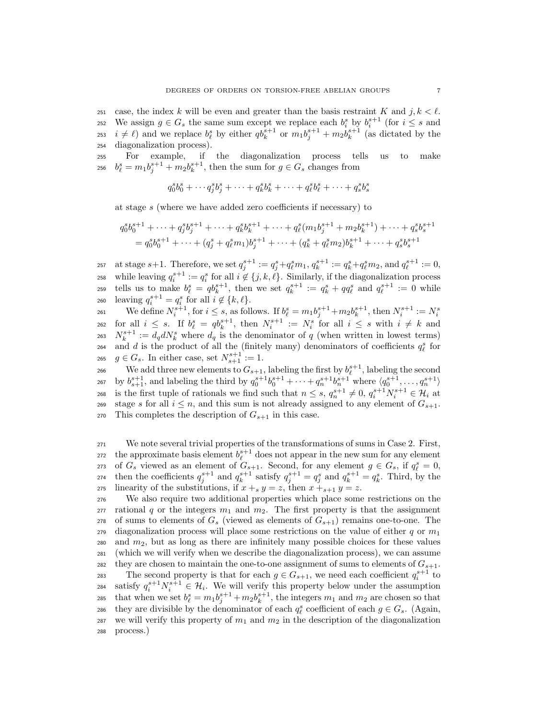251 case, the index k will be even and greater than the basis restraint K and  $j, k < \ell$ . 252 We assign  $g \in G_s$  the same sum except we replace each  $b_i^s$  by  $b_i^{s+1}$  (for  $i \leq s$  and 253  $i \neq \ell$ ) and we replace  $b_{\ell}^s$  by either  $q b_k^{s+1}$  or  $m_1 b_j^{s+1} + m_2 b_k^{s+1}$  (as dictated by the <sup>254</sup> diagonalization process).

<sup>255</sup> For example, if the diagonalization process tells us to make <sup>256</sup>  $b_{\ell}^{s} = m_1 b_j^{s+1} + m_2 b_k^{s+1}$ , then the sum for  $g \in G_s$  changes from

$$
q_0^s b_0^s + \cdots + q_j^s b_j^s + \cdots + q_k^s b_k^s + \cdots + q_\ell^s b_\ell^s + \cdots + q_s^s b_s^s
$$

at stage s (where we have added zero coefficients if necessary) to

$$
q_0^s b_0^{s+1} + \dots + q_j^s b_j^{s+1} + \dots + q_k^s b_k^{s+1} + \dots + q_\ell^s (m_1 b_j^{s+1} + m_2 b_k^{s+1}) + \dots + q_s^s b_s^{s+1}
$$
  
=  $q_0^s b_0^{s+1} + \dots + (q_j^s + q_\ell^s m_1) b_j^{s+1} + \dots + (q_k^s + q_\ell^s m_2) b_k^{s+1} + \dots + q_s^s b_s^{s+1}$ 

257 at stage  $s+1$ . Therefore, we set  $q_j^{s+1} := q_j^s + q_\ell^s m_1, q_k^{s+1} := q_k^s + q_\ell^s m_2$ , and  $q_\ell^{s+1} := 0$ , <sup>258</sup> while leaving  $q_i^{s+1} := q_i^s$  for all  $i \notin \{j, k, \ell\}$ . Similarly, if the diagonalization process 259 tells us to make  $b_{\ell}^s = qb_k^{s+1}$ , then we set  $q_k^{s+1} := q_k^s + qq_{\ell}^s$  and  $q_{\ell}^{s+1} := 0$  while 260 leaving  $q_i^{s+1} = q_i^s$  for all  $i \notin \{k, \ell\}.$ 

We define  $N_i^{s+1}$ , for  $i \leq s$ , as follows. If  $b_{\ell}^s = m_1 b_j^{s+1} + m_2 b_k^{s+1}$ , then  $N_i^{s+1} := N_i^s$ 261  $f_1$  and  $i \leq s$ . If  $b_{\ell}^s = qb_{k}^{s+1}$ , then  $N_i^{s+1} := N_i^s$  for all  $i \leq s$  with  $i \neq k$  and 263  $N_k^{s+1} := d_q dN_k^s$  where  $d_q$  is the denominator of q (when written in lowest terms) 264 and d is the product of all the (finitely many) denominators of coefficients  $q_\ell^s$  for 265  $g \in G_s$ . In either case, set  $N_{s+1}^{s+1} := 1$ .

266 We add three new elements to  $G_{s+1}$ , labeling the first by  $b_{\ell}^{s+1}$ , labeling the second  $\log b_{s+1}^{s+1}$ , and labeling the third by  $q_0^{s+1}b_0^{s+1} + \cdots + q_n^{s+1}b_n^{s+1}$  where  $\langle q_0^{s+1}, \ldots, q_n^{s+1} \rangle$ 268 is the first tuple of rationals we find such that  $n \leq s$ ,  $q_n^{s+1} \neq 0$ ,  $q_i^{s+1} N_i^{s+1} \in \mathcal{H}_i$  at 269 stage s for all  $i \leq n$ , and this sum is not already assigned to any element of  $G_{s+1}$ . 270 This completes the description of  $G_{s+1}$  in this case.

<sup>271</sup> We note several trivial properties of the transformations of sums in Case 2. First, 272 the approximate basis element  $b_{\ell}^{s+1}$  does not appear in the new sum for any element 273 of  $G_s$  viewed as an element of  $G_{s+1}$ . Second, for any element  $g \in G_s$ , if  $q_\ell^s = 0$ , 274 then the coefficients  $q_j^{s+1}$  and  $q_k^{s+1}$  satisfy  $q_j^{s+1} = q_j^s$  and  $q_k^{s+1} = q_k^s$ . Third, by the 275 linearity of the substitutions, if  $x +_s y = z$ , then  $x +_{s+1} y = z$ .

<sup>276</sup> We also require two additional properties which place some restrictions on the 277 rational q or the integers  $m_1$  and  $m_2$ . The first property is that the assignment 278 of sums to elements of  $G_s$  (viewed as elements of  $G_{s+1}$ ) remains one-to-one. The  $279$  diagonalization process will place some restrictions on the value of either q or  $m_1$  $280$  and  $m_2$ , but as long as there are infinitely many possible choices for these values <sup>281</sup> (which we will verify when we describe the diagonalization process), we can assume 282 they are chosen to maintain the one-to-one assignment of sums to elements of  $G_{s+1}$ . 283 The second property is that for each  $g \in G_{s+1}$ , we need each coefficient  $q_i^{s+1}$  to 284 satisfy  $q_i^{s+1} N_i^{s+1} \in \mathcal{H}_i$ . We will verify this property below under the assumption 285 that when we set  $b_{\ell}^s = m_1 b_j^{s+1} + m_2 b_k^{s+1}$ , the integers  $m_1$  and  $m_2$  are chosen so that 286 they are divisible by the denominator of each  $q_{\ell}^{s}$  coefficient of each  $g \in G_s$ . (Again, 287 we will verify this property of  $m_1$  and  $m_2$  in the description of the diagonalization <sup>288</sup> process.)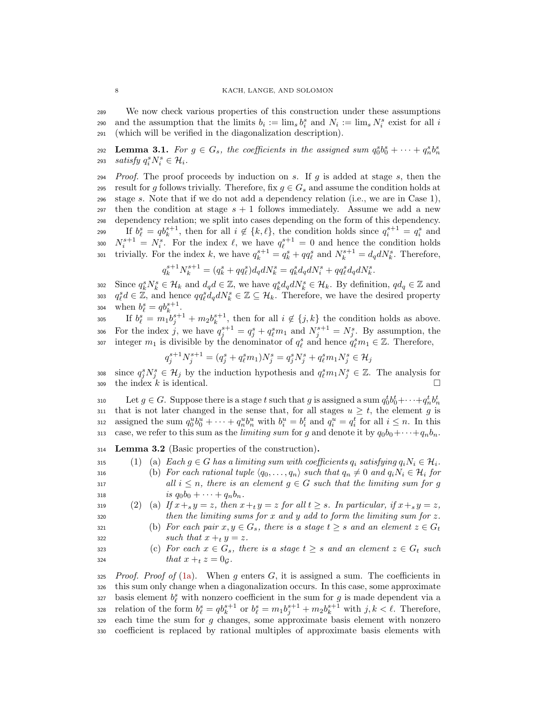<sup>289</sup> We now check various properties of this construction under these assumptions 290 and the assumption that the limits  $b_i := \lim_s b_i^s$  and  $N_i := \lim_s N_i^s$  exist for all i <sup>291</sup> (which will be verified in the diagonalization description).

<span id="page-7-1"></span>**Lemma 3.1.** For  $g \in G_s$ , the coefficients in the assigned sum  $q_0^s b_0^s + \cdots + q_n^s b_n^s$ 292 293 *satisfy*  $q_i^s N_i^s \in \mathcal{H}_i$ .

 $294$  Proof. The proof proceeds by induction on s. If g is added at stage s, then the 295 result for g follows trivially. Therefore, fix  $g \in G_s$  and assume the condition holds at <sup>296</sup> stage s. Note that if we do not add a dependency relation (i.e., we are in Case 1), 297 then the condition at stage  $s + 1$  follows immediately. Assume we add a new <sup>298</sup> dependency relation; we split into cases depending on the form of this dependency. 199 If  $b_{\ell}^s = qb_k^{s+1}$ , then for all  $i \notin \{k, \ell\}$ , the condition holds since  $q_i^{s+1} = q_i^s$  and 300  $N_i^{s+1} = N_i^s$ . For the index  $\ell$ , we have  $q_\ell^{s+1} = 0$  and hence the condition holds 301 trivially. For the index k, we have  $q_k^{s+1} = q_k^s + qq_\ell^s$  and  $N_k^{s+1} = d_q dN_k^s$ . Therefore,

$$
q_k^{s+1} N_k^{s+1} = (q_k^s + q q_\ell^s) d_q d N_k^s = q_k^s d_q d N_i^s + q q_\ell^s d_q d N_k^s.
$$

302 Since  $q_k^s N_k^s \in \mathcal{H}_k$  and  $d_q d \in \mathbb{Z}$ , we have  $q_k^s d_q d N_k^s \in \mathcal{H}_k$ . By definition,  $qd_q \in \mathbb{Z}$  and 303  $q_{\ell}^s d \in \mathbb{Z}$ , and hence  $qq_{\ell}^s d_q dN_{k}^s \in \mathbb{Z} \subseteq \mathcal{H}_k$ . Therefore, we have the desired property 304 when  $b_{\ell}^{s} = qb_{k}^{s+1}$ .

305 If  $b_{\ell}^s = m_1 b_j^{s+1} + m_2 b_k^{s+1}$ , then for all  $i \notin \{j,k\}$  the condition holds as above. 306 For the index j, we have  $q_j^{s+1} = q_j^s + q_\ell^s m_1$  and  $N_j^{s+1} = N_j^s$ . By assumption, the 307 integer  $m_1$  is divisible by the denominator of  $q_\ell^s$  and hence  $q_\ell^s m_1 \in \mathbb{Z}$ . Therefore,

$$
q^{s+1}_jN^{s+1}_j=(q^{s}_j+q^{s}_\ell m_1)N^s_j=q^{s}_jN^s_j+q^{s}_\ell m_1N^s_j\in\mathcal{H}_j
$$

308 since  $q_j^s N_j^s \in \mathcal{H}_j$  by the induction hypothesis and  $q_\ell^s m_1 N_j^s \in \mathbb{Z}$ . The analysis for  $\Box$  309 the index k is identical.

Let  $g \in G$ . Suppose there is a stage t such that g is assigned a sum  $q_0^t b_0^t + \cdots + q_n^t b_n^t$ 310 311 that is not later changed in the sense that, for all stages  $u \geq t$ , the element g is 312 assigned the sum  $q_0^u b_0^u + \cdots + q_n^u b_n^u$  with  $b_i^u = b_i^t$  and  $q_i^u = q_i^t$  for all  $i \leq n$ . In this 313 case, we refer to this sum as the *limiting sum* for g and denote it by  $q_0b_0+\cdots+q_nb_n$ .

<span id="page-7-6"></span><sup>314</sup> Lemma 3.2 (Basic properties of the construction).

<span id="page-7-0"></span>315 (1) (a) Each  $q \in G$  has a limiting sum with coefficients  $q_i$  satisfying  $q_iN_i \in \mathcal{H}_i$ .

<span id="page-7-2"></span>316 (b) For each rational tuple  $\langle q_0, \ldots, q_n \rangle$  such that  $q_n \neq 0$  and  $q_iN_i \in \mathcal{H}_i$  for 317 all  $i \leq n$ , there is an element  $g \in G$  such that the limiting sum for g 318 is  $q_0b_0 + \cdots + q_nb_n$ .

<span id="page-7-3"></span>(2) (a) If 
$$
x +_s y = z
$$
, then  $x +_t y = z$  for all  $t \ge s$ . In particular, if  $x +_s y = z$ ,  
then the limiting sums for x and y add to form the limiting sum for z.

<span id="page-7-4"></span>321 (b) For each pair  $x, y \in G_s$ , there is a stage  $t \geq s$  and an element  $z \in G_t$ 

322 such that  $x +_t y = z$ .

<span id="page-7-5"></span>323 (c) For each  $x \in G_s$ , there is a stage  $t \geq s$  and an element  $z \in G_t$  such 324 *that*  $x +_t z = 0_G$ .

 Proof. Proof of [\(1a\)](#page-7-0). When g enters G, it is assigned a sum. The coefficients in this sum only change when a diagonalization occurs. In this case, some approximate 327 basis element  $b_{\ell}^s$  with nonzero coefficient in the sum for g is made dependent via a 328 relation of the form  $b_{\ell}^s = qb_{k}^{s+1}$  or  $b_{\ell}^s = m_1b_j^{s+1} + m_2b_k^{s+1}$  with  $j, k < \ell$ . Therefore, each time the sum for g changes, some approximate basis element with nonzero coefficient is replaced by rational multiples of approximate basis elements with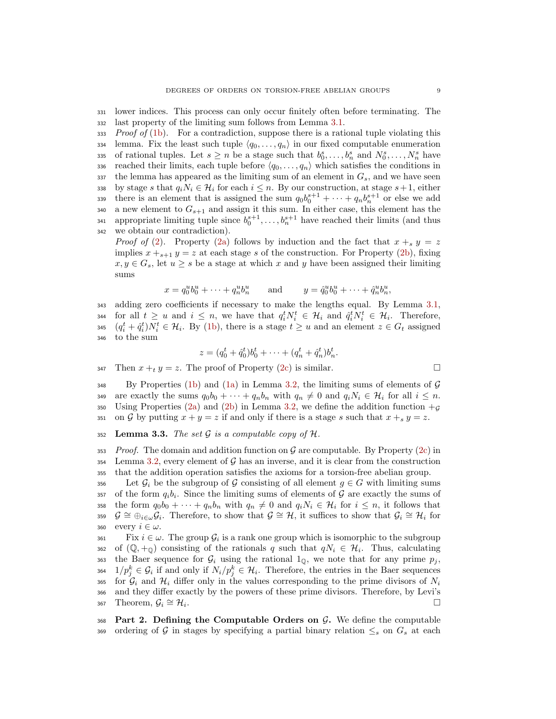<sup>331</sup> lower indices. This process can only occur finitely often before terminating. The <sup>332</sup> last property of the limiting sum follows from Lemma [3.1.](#page-7-1)

 $333$  Proof of [\(1b\)](#page-7-2). For a contradiction, suppose there is a rational tuple violating this 334 lemma. Fix the least such tuple  $\langle q_0, \ldots, q_n \rangle$  in our fixed computable enumeration 335 of rational tuples. Let  $s \geq n$  be a stage such that  $b_0^s, \ldots, b_n^s$  and  $N_0^s, \ldots, N_n^s$  have 336 reached their limits, each tuple before  $\langle q_0, \ldots, q_n \rangle$  which satisfies the conditions in  $337$  the lemma has appeared as the limiting sum of an element in  $G_s$ , and we have seen 338 by stage s that  $q_iN_i \in \mathcal{H}_i$  for each  $i \leq n$ . By our construction, at stage  $s+1$ , either 339 there is an element that is assigned the sum  $q_0b_0^{s+1} + \cdots + q_nb_n^{s+1}$  or else we add 340 a new element to  $G_{s+1}$  and assign it this sum. In either case, this element has the 341 appropriate limiting tuple since  $b_0^{s+1}, \ldots, b_n^{s+1}$  have reached their limits (and thus <sup>342</sup> we obtain our contradiction).

*Proof of* [\(2\)](#page-7-3). Property [\(2a\)](#page-7-3) follows by induction and the fact that  $x +_s y = z$ implies  $x + s+1$   $y = z$  at each stage s of the construction. For Property [\(2b\)](#page-7-4), fixing  $x, y \in G_s$ , let  $u \geq s$  be a stage at which x and y have been assigned their limiting sums

$$
x = q_0^u b_0^u + \dots + q_n^u b_n^u
$$
 and  $y = \hat{q}_0^u b_0^u + \dots + \hat{q}_n^u b_n^u$ ,

 adding zero coefficients if necessary to make the lengths equal. By Lemma [3.1,](#page-7-1) 344 for all  $t \geq u$  and  $i \leq n$ , we have that  $q_i^t N_i^t \in \mathcal{H}_i$  and  $\hat{q}_i^t N_i^t \in \mathcal{H}_i$ . Therefore,  $(q_i^t + \hat{q}_i^t)N_i^t \in \mathcal{H}_i$ . By [\(1b\)](#page-7-2), there is a stage  $t \geq u$  and an element  $z \in G_t$  assigned to the sum

$$
z = (q_0^t + \hat{q}_0^t)b_0^t + \dots + (q_n^t + \hat{q}_n^t)b_n^t.
$$

347 Then  $x +_y = z$ . The proof of Property [\(2c\)](#page-7-5) is similar.

 $348$  By Properties [\(1b\)](#page-7-2) and [\(1a\)](#page-7-0) in Lemma [3.2,](#page-7-6) the limiting sums of elements of G 349 are exactly the sums  $q_0b_0 + \cdots + q_nb_n$  with  $q_n \neq 0$  and  $q_iN_i \in \mathcal{H}_i$  for all  $i \leq n$ . 350 Using Properties [\(2a\)](#page-7-3) and [\(2b\)](#page-7-4) in Lemma [3.2,](#page-7-6) we define the addition function  $+g$ 351 on G by putting  $x + y = z$  if and only if there is a stage s such that  $x + s y = z$ .

352 Lemma 3.3. The set  $G$  is a computable copy of  $H$ .

 $353$  Proof. The domain and addition function on G are computable. By Property [\(2c\)](#page-7-5) in  $354$  Lemma [3.2,](#page-7-6) every element of G has an inverse, and it is clear from the construction <sup>355</sup> that the addition operation satisfies the axioms for a torsion-free abelian group.

356 Let  $\mathcal{G}_i$  be the subgroup of G consisting of all element  $g \in G$  with limiting sums 357 of the form  $q_i b_i$ . Since the limiting sums of elements of G are exactly the sums of 358 the form  $q_0b_0 + \cdots + q_nb_n$  with  $q_n \neq 0$  and  $q_iN_i \in \mathcal{H}_i$  for  $i \leq n$ , it follows that 359  $\mathcal{G} \cong \bigoplus_{i\in\omega} \mathcal{G}_i$ . Therefore, to show that  $\mathcal{G} \cong \mathcal{H}$ , it suffices to show that  $\mathcal{G}_i \cong \mathcal{H}_i$  for 360 every  $i \in \omega$ .

 $F_{i}$  is a rank one group which is isomorphic to the subgroup  $\alpha_3$  of  $(\mathbb{Q}, +_{\mathbb{Q}})$  consisting of the rationals q such that  $qN_i \in \mathcal{H}_i$ . Thus, calculating 363 the Baer sequence for  $\mathcal{G}_i$  using the rational  $1_0$ , we note that for any prime  $p_i$ , 364  $1/p_j^k \in \mathcal{G}_i$  if and only if  $N_i/p_j^k \in \mathcal{H}_i$ . Therefore, the entries in the Baer sequences 365 for  $\mathcal{G}_i$  and  $\mathcal{H}_i$  differ only in the values corresponding to the prime divisors of  $N_i$ <sup>366</sup> and they differ exactly by the powers of these prime divisors. Therefore, by Levi's  $\mathcal{G}_i \cong \mathcal{H}_i.$ 

368 Part 2. Defining the Computable Orders on  $\mathcal{G}$ . We define the computable 369 ordering of G in stages by specifying a partial binary relation  $\leq_s$  on  $G_s$  at each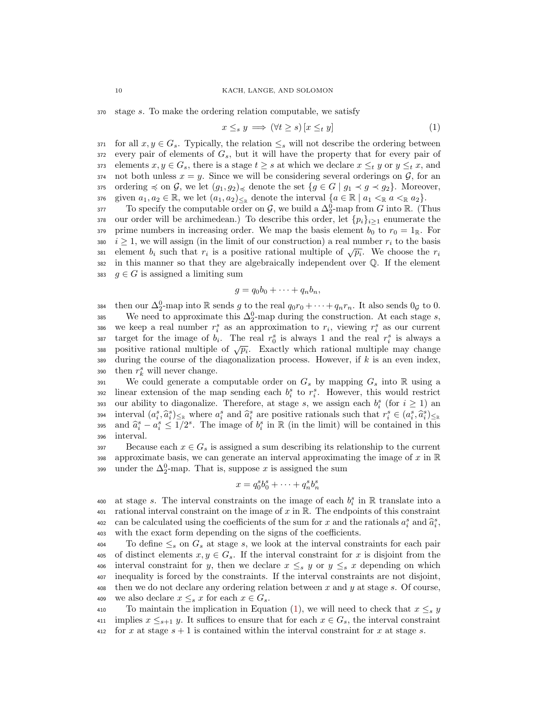<sup>370</sup> stage s. To make the ordering relation computable, we satisfy

<span id="page-9-0"></span>
$$
x \leq_s y \implies (\forall t \geq s) \left[ x \leq_t y \right] \tag{1}
$$

371 for all  $x, y \in G_s$ . Typically, the relation  $\leq_s$  will not describe the ordering between  $372$  every pair of elements of  $G_s$ , but it will have the property that for every pair of 373 elements  $x, y \in G_s$ , there is a stage  $t \geq s$  at which we declare  $x \leq_t y$  or  $y \leq_t x$ , and 374 not both unless  $x = y$ . Since we will be considering several orderings on  $\mathcal{G}$ , for an 375 ordering  $\preccurlyeq$  on  $\mathcal{G}$ , we let  $(g_1, g_2)_{\preccurlyeq}$  denote the set  $\{g \in G \mid g_1 \prec g \prec g_2\}$ . Moreover, 376 given  $a_1, a_2 \in \mathbb{R}$ , we let  $(a_1, a_2)_{\leq \mathbb{R}}$  denote the interval  $\{a \in \mathbb{R} \mid a_1 \leq \mathbb{R} a \leq \mathbb{R} a_2\}$ .

377 To specify the computable order on  $\mathcal{G}$ , we build a  $\Delta_2^0$ -map from G into R. (Thus 378 our order will be archimedean.) To describe this order, let  $\{p_i\}_{i\geq 1}$  enumerate the 379 prime numbers in increasing order. We map the basis element  $b_0$  to  $r_0 = 1_{\mathbb{R}}$ . For 380 i  $i \geq 1$ , we will assign (in the limit of our construction) a real number  $r_i$  to the basis element  $b_i$  such that  $r_i$  is a positive rational multiple of  $\sqrt{p_i}$ . We choose the  $r_i$ <sup>382</sup> in this manner so that they are algebraically independent over Q. If the element 383  $q \in G$  is assigned a limiting sum

$$
g = q_0b_0 + \cdots + q_nb_n,
$$

384 then our  $\Delta_2^0$ -map into R sends g to the real  $q_0r_0 + \cdots + q_nr_n$ . It also sends  $0<sub>g</sub>$  to 0. 385 We need to approximate this  $\Delta_2^0$ -map during the construction. At each stage s, 386 we keep a real number  $r_i^s$  as an approximation to  $r_i$ , viewing  $r_i^s$  as our current 387 target for the image of  $b_i$ . The real  $r_0^s$  is always 1 and the real  $r_i^s$  is always a bositive rational multiple of  $\sqrt{p_i}$ . Exactly which rational multiple may change positive rational multiple of  $\sqrt{p_i}$ . Exactly which rational multiple may change <sup>389</sup> during the course of the diagonalization process. However, if k is an even index, 390 then  $r_k^s$  will never change.

391 We could generate a computable order on  $G_s$  by mapping  $G_s$  into R using a  $1392$  linear extension of the map sending each  $b_i^s$  to  $r_i^s$ . However, this would restrict 393 our ability to diagonalize. Therefore, at stage s, we assign each  $b_i^s$  (for  $i \geq 1$ ) and interval  $(a_i^s, \hat{a}_i^s)_{\leq \mathbb{R}}$  where  $a_i^s$  and  $\hat{a}_i^s$  are positive rationals such that  $r_i^s \in (a_i^s, \hat{a}_i^s)_{\leq \mathbb{R}}$ <br>and  $\hat{a}_i^s = a_i^s \leq 1/2^s$ . The image of  $b_i^s$  in  $\mathbb{R}$  (in the limit) will be conta 394 395 and  $\hat{a}_i^s - a_i^s \leq \overline{1/2^s}$ . The image of  $b_i^s$  in  $\mathbb R$  (in the limit) will be contained in this <sup>396</sup> interval.

397 Because each  $x \in G_s$  is assigned a sum describing its relationship to the current 398 approximate basis, we can generate an interval approximating the image of  $x$  in  $\mathbb R$ 399 under the  $\Delta_2^0$ -map. That is, suppose x is assigned the sum

$$
x = q_0^s b_0^s + \dots + q_n^s b_n^s
$$

400 at stage s. The interval constraints on the image of each  $b_i^s$  in R translate into a 401 rational interval constraint on the image of  $x$  in  $\mathbb{R}$ . The endpoints of this constraint <sup>402</sup> can be calculated using the coefficients of the sum for x and the rationals  $a_i^s$  and  $\hat{a}_i^s$ , <sup>403</sup> with the exact form depending on the signs of the coefficients.

404 To define  $\leq_s$  on  $G_s$  at stage s, we look at the interval constraints for each pair 405 of distinct elements  $x, y \in G_s$ . If the interval constraint for x is disjoint from the 406 interval constraint for y, then we declare  $x \leq_s y$  or  $y \leq_s x$  depending on which <sup>407</sup> inequality is forced by the constraints. If the interval constraints are not disjoint, 408 then we do not declare any ordering relation between x and y at stage s. Of course, 409 we also declare  $x \leq_s x$  for each  $x \in G_s$ .

410 To maintain the implication in Equation [\(1\)](#page-9-0), we will need to check that  $x \leq_s y$ 411 implies  $x \leq_{s+1} y$ . It suffices to ensure that for each  $x \in G_s$ , the interval constraint 412 for x at stage  $s + 1$  is contained within the interval constraint for x at stage s.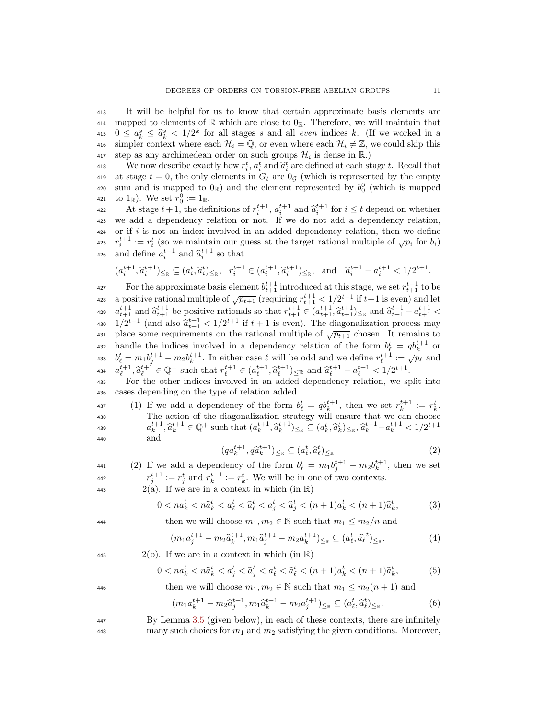<sup>413</sup> It will be helpful for us to know that certain approximate basis elements are 414 mapped to elements of  $\mathbb R$  which are close to  $0_{\mathbb R}$ . Therefore, we will maintain that 415  $0 \le a_k^s \le \hat{a}_k^s < 1/2^k$  for all stages s and all *even* indices k. (If we worked in a 416 simpler context where each  $\mathcal{H}_i = \mathbb{Q}$ , or even where each  $\mathcal{H}_i \neq \mathbb{Z}$ , we could skip this step as any archimedean order on such groups  $\mathcal{H}_i$  is dense in R.)

We now describe exactly how  $r_i^t$ ,  $a_i^t$  and  $\hat{a}_i^t$  are defined at each stage t. Recall that<br>the state  $t = 0$ , the only elements in  $C_t$  are  $0$  c (which is represented by the empty 419 at stage  $t = 0$ , the only elements in  $G_t$  are  $0<sub>g</sub>$  (which is represented by the empty 420 sum and is mapped to  $0_{\mathbb{R}}$ ) and the element represented by  $b_0^0$  (which is mapped 421 to  $1_{\mathbb{R}}$ ). We set  $r_0^0 := 1_{\mathbb{R}}$ .

422 At stage  $t+1$ , the definitions of  $r_t^{t+1}$ ,  $a_t^{t+1}$  and  $\hat{a}_t^{t+1}$  for  $i \leq t$  depend on whether <sup>423</sup> we add a dependency relation or not. If we do not add a dependency relation,  $424$  or if i is not an index involved in an added dependency relation, then we define  $r_i^{t+1} := r_i^t$  (so we maintain our guess at the target rational multiple of  $\sqrt{p_i}$  for  $b_i$ ) 426 and define  $a_i^{t+1}$  and  $\hat{a}_i^{t+1}$  so that

$$
(a_i^{t+1}, \hat{a}_i^{t+1})_{\leq \mathbb{R}} \subseteq (a_i^t, \hat{a}_i^t)_{\leq \mathbb{R}}, \ \ r_i^{t+1} \in (a_i^{t+1}, \hat{a}_i^{t+1})_{\leq \mathbb{R}}, \ \text{and} \ \ \hat{a}_i^{t+1} - a_i^{t+1} < 1/2^{t+1}.
$$

427 For the approximate basis element  $b_{t+1}^{t+1}$  introduced at this stage, we set  $r_{t+1}^{t+1}$  to be a positive rational multiple of  $\sqrt{p_{t+1}}$  (requiring  $r_{t+1}^{t+1} < 1/2^{t+1}$  if  $t+1$  is even) and let 429  $a_{t+1}^{t+1}$  and  $\hat{a}_{t+1}^{t+1}$  be positive rationals so that  $r_{t+1}^{t+1} \in (a_{t+1}^{t+1}, \hat{a}_{t+1}^{t+1})_{\leq \mathbb{R}}$  and  $\hat{a}_{t+1}^{t+1} - a_{t+1}^{t+1} < 1$ <sup>430</sup>  $1/2^{t+1}$  (and also  $\hat{a}_{t+1}^{t+1} < 1/2^{t+1}$  if  $t+1$  is even). The diagonalization process may <sup>430</sup>  $1/2^{t+1}$  (and also  $\hat{a}_{t+1}^{t+1} < 1/2^{t+1}$  if  $t+1$  is even). The diagonalization process may place some requirements on the rational multiple of  $\sqrt{p_{t+1}}$  chosen. It remains to 432 handle the indices involved in a dependency relation of the form  $b_{\ell}^{t} = q b_{k}^{t+1}$  or  $b_{\ell}^{t} = m_1 b_j^{t+1} - m_2 b_k^{t+1}$ . In either case  $\ell$  will be odd and we define  $r_{\ell}^{t+1} := \sqrt{p_{\ell}}$  and <sup>434</sup>  $a_{\ell}^{t+1}, \hat{a}_{\ell}^{t+1} \in \mathbb{Q}^+$  such that  $r_{\ell}^{t+1} \in (a_{\ell}^{t+1}, \hat{a}_{\ell}^{t+1})_{\leq \mathbb{R}}$  and  $\hat{a}_{\ell}^{t+1} - a_{\ell}^{t+1} \leq 1/2^{t+1}$ .

<sup>435</sup> For the other indices involved in an added dependency relation, we split into <sup>436</sup> cases depending on the type of relation added.

437 (1) If we add a dependency of the form  $b_{\ell}^t = q b_k^{t+1}$ , then we set  $r_k^{t+1} := r_k^t$ . <sup>438</sup> The action of the diagonalization strategy will ensure that we can choose 439  $a_k^{t+1}, \hat{a}_k^{t+1} \in \mathbb{Q}^+$  such that  $(a_k^{t+1}, \hat{a}_k^{t+1})_{\leq \mathbb{R}} \subseteq (a_k^t, \hat{a}_k^t)_{\leq \mathbb{R}}, \hat{a}_k^{t+1} - a_k^{t+1} < 1/2^{t+1}$ <sup>440</sup> and

<span id="page-10-4"></span><span id="page-10-3"></span><span id="page-10-2"></span><span id="page-10-1"></span><span id="page-10-0"></span>
$$
(qa_k^{t+1}, q\hat{a}_k^{t+1})_{\leq \mathbb{R}} \subseteq (a_\ell^t, \hat{a}_\ell^t)_{\leq \mathbb{R}}
$$
\n
$$
(2)
$$

441 (2) If we add a dependency of the form  $b_{\ell}^{t} = m_1 b_j^{t+1} - m_2 b_k^{t+1}$ , then we set 442  $r_j^{t+1} := r_j^t$  and  $r_k^{t+1} := r_k^t$ . We will be in one of two contexts.

443 2(a). If we are in a context in which (in  $\mathbb{R}$ )

$$
0 < na_k^t < n\hat{a}_k^t < a_\ell^t < \hat{a}_\ell^t < a_j^t < \hat{a}_j^t < (n+1)a_k^t < (n+1)\hat{a}_k^t,\tag{3}
$$

444 then we will choose  $m_1, m_2 \in \mathbb{N}$  such that  $m_1 \leq m_2/n$  and

$$
(m_1 a_j^{t+1} - m_2 \hat{a}_k^{t+1}, m_1 \hat{a}_j^{t+1} - m_2 a_k^{t+1}) \leq \geq (a_\ell^t, \hat{a}_\ell^t) \leq \geq (4)
$$

445 2(b). If we are in a context in which (in  $\mathbb{R}$ )

$$
0 < na_k^t < n\hat{a}_k^t < a_j^t < \hat{a}_j^t < a_\ell^t < \hat{a}_\ell^t < (n+1)a_k^t < (n+1)\hat{a}_k^t,\tag{5}
$$

446 then we will choose  $m_1, m_2 \in \mathbb{N}$  such that  $m_1 \leq m_2(n+1)$  and

$$
(m_1 a_k^{t+1} - m_2 \hat{a}_j^{t+1}, m_1 \hat{a}_k^{t+1} - m_2 a_j^{t+1}) \leq_{\mathbb{R}} \subseteq (a_\ell^t, \hat{a}_\ell^t) \leq_{\mathbb{R}}.
$$
 (6)

<sup>447</sup> By Lemma [3.5](#page-11-0) (given below), in each of these contexts, there are infinitely <sup>448</sup> many such choices for  $m_1$  and  $m_2$  satisfying the given conditions. Moreover,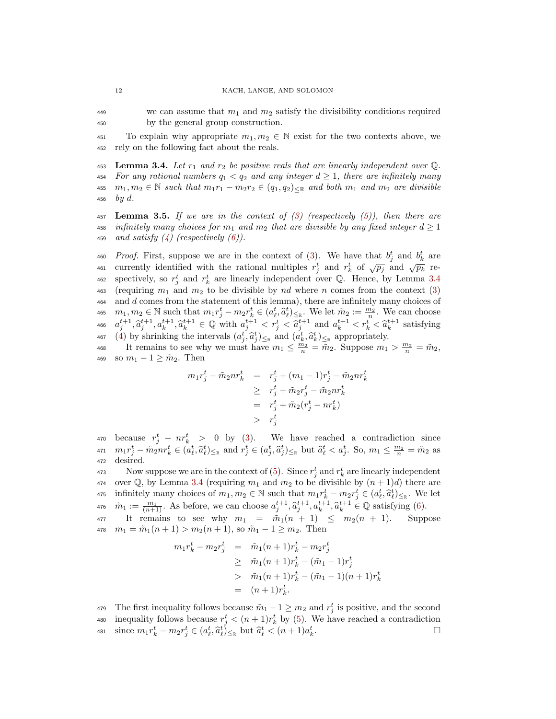<sup>449</sup> we can assume that  $m_1$  and  $m_2$  satisfy the divisibility conditions required <sup>450</sup> by the general group construction.

451 To explain why appropriate  $m_1, m_2 \in \mathbb{N}$  exist for the two contexts above, we <sup>452</sup> rely on the following fact about the reals.

<span id="page-11-1"></span>453 Lemma 3.4. Let  $r_1$  and  $r_2$  be positive reals that are linearly independent over  $\mathbb Q$ . 454 For any rational numbers  $q_1 < q_2$  and any integer  $d \geq 1$ , there are infinitely many 455  $m_1, m_2 \in \mathbb{N}$  such that  $m_1r_1 - m_2r_2 \in (q_1, q_2)_{\leq \mathbb{R}}$  and both  $m_1$  and  $m_2$  are divisible 456 by d.

<span id="page-11-0"></span>457 Lemma 3.5. If we are in the context of  $(3)$  (respectively  $(5)$ ), then there are 458 infinitely many choices for  $m_1$  and  $m_2$  that are divisible by any fixed integer  $d \geq 1$ 459 and satisfy  $(4)$  (respectively  $(6)$ ).

460 *Proof.* First, suppose we are in the context of [\(3\)](#page-10-0). We have that  $b_j^t$  and  $b_k^t$  are <sup>466</sup> *Frosf.* This, suppose we are in the context of  $(9)$ . We have that  $v_j$  and  $v_k$  are<br>461 currently identified with the rational multiples  $r_j^t$  and  $r_k^t$  of  $\sqrt{p_j}$  and  $\sqrt{p_k}$  re-462 spectively, so  $r_j^t$  and  $r_k^t$  are linearly independent over Q. Hence, by Lemma [3.4](#page-11-1) 463 (requiring  $m_1$  and  $m_2$  to be divisible by nd where n comes from the context [\(3\)](#page-10-0) 464 and d comes from the statement of this lemma), there are infinitely many choices of 465  $m_1, m_2 \in \mathbb{N}$  such that  $m_1 r_j^t - m_2 r_k^t \in (a_\ell^t, \hat{a}_\ell^t)_{\leq \mathbb{R}}$ . We let  $\tilde{m}_2 := \frac{m_2}{n}$ . We can choose 466  $a_j^{t+1}, \hat{a}_k^{t+1}, a_k^{t+1} \in \mathbb{Q}$  with  $a_j^{t+1} < r_s^t < \hat{a}_j^{t+1}$  and  $a_k^{t+1} < r_k^t < \hat{a}_k^{t+1}$  satisfying 467 [\(4\)](#page-10-2) by shrinking the intervals  $(a_t^t, \hat{a}_t^t)_{\leq \mathbb{R}}$  and  $(a_t^t, \hat{a}_k^t)_{\leq \mathbb{R}}$  appropriately.

468 It remains to see why we must have  $m_1 \leq \frac{m_2}{n} = \tilde{m}_2$ . Suppose  $m_1 > \frac{m_2}{n} = \tilde{m}_2$ , 469 so  $m_1 - 1 \geq \tilde{m}_2$ . Then

$$
m_1 r_j^t - \tilde{m}_2 n r_k^t = r_j^t + (m_1 - 1)r_j^t - \tilde{m}_2 n r_k^t
$$
  
\n
$$
\geq r_j^t + \tilde{m}_2 r_j^t - \tilde{m}_2 n r_k^t
$$
  
\n
$$
= r_j^t + \tilde{m}_2 (r_j^t - n r_k^t)
$$
  
\n
$$
> r_j^t
$$

470 because  $r_j^t - nr_k^t > 0$  by [\(3\)](#page-10-0). We have reached a contradiction since 471  $m_1 r_j^t - \tilde{m}_2 n r_k^t \in (a_\ell^t, \hat{a}_\ell^t)_{\leq \mathbb{R}}$  and  $r_j^t \in (a_j^t, \hat{a}_j^t)_{\leq \mathbb{R}}$  but  $\hat{a}_\ell^t < a_j^t$ . So,  $m_1 \leq \frac{m_2}{n} = \tilde{m}_2$  as <sup>472</sup> desired.

<sup>473</sup> Now suppose we are in the context of [\(5\)](#page-10-1). Since  $r_j^t$  and  $r_k^t$  are linearly independent 474 over Q, by Lemma [3.4](#page-11-1) (requiring  $m_1$  and  $m_2$  to be divisible by  $(n + 1)d$ ) there are 475 infinitely many choices of  $m_1, m_2 \in \mathbb{N}$  such that  $m_1 r_k^t - m_2 r_j^t \in (a_\ell^t, \hat{a}_\ell^t)_{\leq \mathbb{R}}$ . We let 476  $\tilde{m}_1 := \frac{m_1}{(n+1)}$ . As before, we can choose  $a_j^{t+1}, \tilde{a}_j^{t+1}, a_k^{t+1}, \tilde{a}_k^{t+1} \in \mathbb{Q}$  satisfying [\(6\)](#page-10-3).

477 It remains to see why  $m_1 = \tilde{m}_1(n + 1) \leq m_2(n + 1)$ . Suppose 478  $m_1 = \tilde{m}_1(n+1) > m_2(n+1)$ , so  $\tilde{m}_1 - 1 \ge m_2$ . Then

$$
m_1 r_k^t - m_2 r_j^t = \tilde{m}_1(n+1)r_k^t - m_2 r_j^t
$$
  
\n
$$
\geq \tilde{m}_1(n+1)r_k^t - (\tilde{m}_1 - 1)r_j^t
$$
  
\n
$$
> \tilde{m}_1(n+1)r_k^t - (\tilde{m}_1 - 1)(n+1)r_k^t
$$
  
\n
$$
= (n+1)r_k^t.
$$

479 The first inequality follows because  $\tilde{m}_1 - 1 \ge m_2$  and  $r_j^t$  is positive, and the second

- 480 inequality follows because  $r_j^t < (n+1)r_k^t$  by [\(5\)](#page-10-1). We have reached a contradiction
- 481 since  $m_1 r_k^t m_2 r_j^t \in (a_\ell^t, \hat{a}_\ell^t)_{\leq \mathbb{R}}$  but  $\hat{a}_\ell^t < (n+1)a_k^t$ .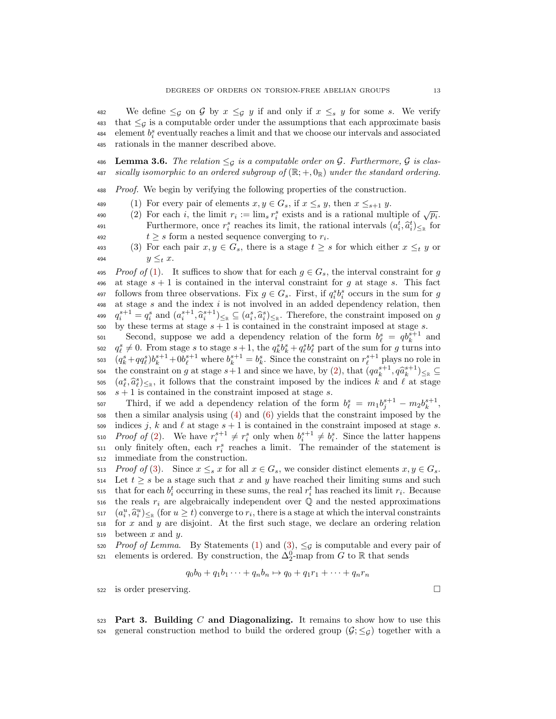482 We define  $\leq_g$  on G by  $x \leq_g y$  if and only if  $x \leq_g y$  for some s. We verify 483 that  $\leq_g$  is a computable order under the assumptions that each approximate basis 484 element  $b_i^s$  eventually reaches a limit and that we choose our intervals and associated <sup>485</sup> rationals in the manner described above.

486 Lemma 3.6. The relation  $\leq_{\mathcal{G}}$  is a computable order on  $\mathcal{G}$ . Furthermore,  $\mathcal{G}$  is clas-487 sically isomorphic to an ordered subgroup of  $(\mathbb{R}; +, 0_{\mathbb{R}})$  under the standard ordering.

<sup>488</sup> Proof. We begin by verifying the following properties of the construction.

- <span id="page-12-0"></span>489 (1) For every pair of elements  $x, y \in G_s$ , if  $x \leq_s y$ , then  $x \leq_{s+1} y$ .
- <span id="page-12-1"></span><sup>469</sup> (1) For every pair of elements  $x, y \in G_s$ , if  $x \leq s$  g, then  $x \leq s+1$  g.<br>
490 (2) For each *i*, the limit  $r_i := \lim_s r_i^s$  exists and is a rational multiple of  $\sqrt{p_i}$ . Furthermore, once  $r_i^s$  reaches its limit, the rational intervals  $(a_i^t, \hat{a}_i^t)_{\leq \mathbb{R}}$  for 492  $t \geq s$  form a nested sequence converging to  $r_i$ .

<span id="page-12-2"></span>493 (3) For each pair  $x, y \in G_s$ , there is a stage  $t \geq s$  for which either  $x \leq_t y$  or 494  $y \leq_t x$ .

495 Proof of [\(1\)](#page-12-0). It suffices to show that for each  $g \in G_s$ , the interval constraint for g 496 at stage  $s + 1$  is contained in the interval constraint for g at stage s. This fact 497 follows from three observations. Fix  $g \in G_s$ . First, if  $q_i^s b_i^s$  occurs in the sum for g  $498$  at stage s and the index i is not involved in an added dependency relation, then <sup>499</sup>  $q_i^{s+1} = q_i^s$  and  $(a_i^{s+1}, \hat{a}_i^{s+1})_{\leq \mathbb{R}} \subseteq (a_i^s, \hat{a}_i^s)_{\leq \mathbb{R}}$ . Therefore, the constraint imposed on g<br>see by those terms at stage  $s+1$  is contained in the constraint imposed at stage s 500 by these terms at stage  $s + 1$  is contained in the constraint imposed at stage  $s$ .

501 Second, suppose we add a dependency relation of the form  $b_{\ell}^s = q b_k^{s+1}$  and 502  $q_\ell^s \neq 0$ . From stage s to stage  $s+1$ , the  $q_k^s \delta_k^s + q_\ell^s \delta_\ell^s$  part of the sum for g turns into 503  $(q_k^s + qq_\ell^s)b_k^{s+1} + 0b_\ell^{s+1}$  where  $b_k^{s+1} = b_k^s$ . Since the constraint on  $r_\ell^{s+1}$  plays no role in the constraint on g at stage  $s+1$  and since we have, by [\(2\)](#page-10-4), that  $(qa_k^{s+1}, q\hat{a}_k^{s+1})_{\leq \mathbb{R}} \subseteq$  $(a_{\ell}^{s}, \hat{a}_{\ell}^{s})_{\leq \mathbb{R}}$ , it follows that the constraint imposed by the indices k and  $\ell$  at stage 506  $s + 1$  is contained in the constraint imposed at stage s.

507 Third, if we add a dependency relation of the form  $b_{\ell}^s = m_1 b_j^{s+1} - m_2 b_k^{s+1}$ , <sup>508</sup> then a similar analysis using [\(4\)](#page-10-2) and [\(6\)](#page-10-3) yields that the constraint imposed by the 509 indices j, k and  $\ell$  at stage  $s + 1$  is contained in the constraint imposed at stage s. 510 Proof of [\(2\)](#page-12-1). We have  $r_i^{s+1} \neq r_i^s$  only when  $b_i^{s+1} \neq b_i^s$ . Since the latter happens  $\mathfrak{so1}$  only finitely often, each  $r_i^s$  reaches a limit. The remainder of the statement is <sup>512</sup> immediate from the construction.

513 Proof of [\(3\)](#page-12-2). Since  $x \leq_s x$  for all  $x \in G_s$ , we consider distinct elements  $x, y \in G_s$ . 514 Let  $t \geq s$  be a stage such that x and y have reached their limiting sums and such that for each  $b_i^t$  occurring in these sums, the real  $r_i^t$  has reached its limit  $r_i$ . Because 516 the reals  $r_i$  are algebraically independent over  $\mathbb Q$  and the nested approximations  $\begin{cases} (a_i^u, \hat{a}_i^u)_{\leq \mathbb{R}} \text{ (for } u \geq t) \text{ converge to } r_i, \text{ there is a stage at which the interval constraints} \\ \text{for } x \text{ and } u \text{ are disjoint. At the first such stream, we dedone an ordinary relation.} \end{cases}$  $518$  for x and y are disjoint. At the first such stage, we declare an ordering relation 519 between  $x$  and  $y$ .

520 Proof of Lemma. By Statements [\(1\)](#page-12-0) and [\(3\)](#page-12-2),  $\leq_g$  is computable and every pair of  $\mathfrak{so}_1$  elements is ordered. By construction, the  $\Delta_2^0$ -map from G to R that sends

$$
q_0b_0 + q_1b_1 \cdots + q_nb_n \mapsto q_0 + q_1r_1 + \cdots + q_nr_n
$$

<sup>522</sup> is order preserving.

523 Part 3. Building  $C$  and Diagonalizing. It remains to show how to use this 524 general construction method to build the ordered group  $(\mathcal{G}; \leq_{\mathcal{G}})$  together with a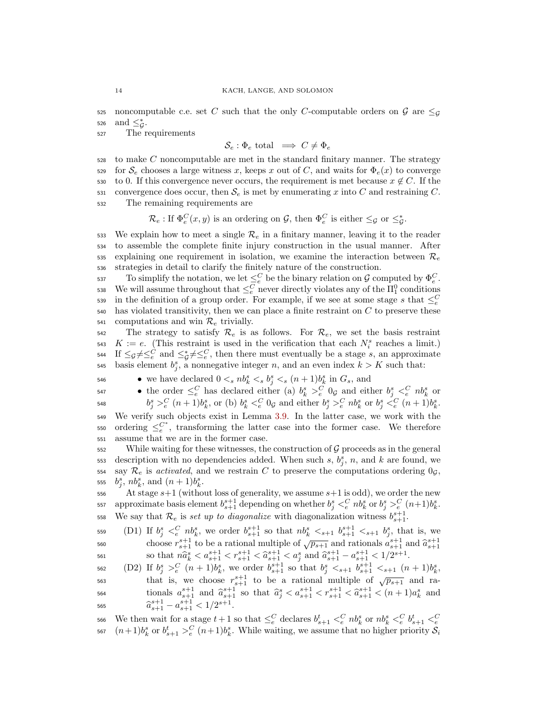525 noncomputable c.e. set C such that the only C-computable orders on  $\mathcal G$  are  $\leq_{\mathcal G}$ 526 and  $\leq^*_{\mathcal{G}}$ .

<sup>527</sup> The requirements

$$
\mathcal{S}_e : \Phi_e \text{ total } \implies C \neq \Phi_e
$$

 $528$  to make C noncomputable are met in the standard finitary manner. The strategy 529 for  $\mathcal{S}_e$  chooses a large witness x, keeps x out of C, and waits for  $\Phi_e(x)$  to converge 530 to 0. If this convergence never occurs, the requirement is met because  $x \notin C$ . If the 531 convergence does occur, then  $\mathcal{S}_e$  is met by enumerating x into C and restraining C. <sup>532</sup> The remaining requirements are

 $\mathcal{R}_e$ : If  $\Phi_e^C(x, y)$  is an ordering on  $\mathcal{G}$ , then  $\Phi_e^C$  is either  $\leq_{\mathcal{G}}$  or  $\leq_{\mathcal{G}}^*$ .

533 We explain how to meet a single  $\mathcal{R}_e$  in a finitary manner, leaving it to the reader <sup>534</sup> to assemble the complete finite injury construction in the usual manner. After 535 explaining one requirement in isolation, we examine the interaction between  $\mathcal{R}_e$ <sup>536</sup> strategies in detail to clarify the finitely nature of the construction.

537 To simplify the notation, we let  $\leq_e^C$  be the binary relation on  $\mathcal G$  computed by  $\Phi_e^C$ . 538 We will assume throughout that  $\leq_e^C$  never directly violates any of the  $\Pi_1^0$  conditions in the definition of a group order. For example, if we see at some stage s that  $\leq_{e}^{C}$ 539  $540$  has violated transitivity, then we can place a finite restraint on C to preserve these 541 computations and win  $\mathcal{R}_e$  trivially.

 $542$  The strategy to satisfy  $\mathcal{R}_e$  is as follows. For  $\mathcal{R}_e$ , we set the basis restraint  $K := e$ . (This restraint is used in the verification that each  $N_i^s$  reaches a limit.) 544 If  $\leq_{\mathcal{G}} \neq \leq_{e}^C$  and  $\leq_{\mathcal{G}}^* \neq \leq_{e}^C$ , then there must eventually be a stage s, an approximate 545 basis element  $b_j^s$ , a nonnegative integer n, and an even index  $k > K$  such that:

• we have declared  $0 \lt s n b_k^s \lt s b_j^s \lt s (n+1) b_k^s$  in  $G_s$ , and

547 ● the order  $\leq_e^C$  has declared either (a)  $b_k^s >_e^C 0$  and either  $b_j^s <_e^C nb_k^s$  or 548  $b_j^s >_e^C (n+1)b_k^s$ , or (b)  $b_k^s <_e^C 0_{\mathcal{G}}$  and either  $b_j^s >_e^C nb_k^s$  or  $b_j^s <_e^C (n+1)b_k^s$ .

<sup>549</sup> We verify such objects exist in Lemma [3.9.](#page-16-0) In the latter case, we work with the 550 ordering  $\leq_e^{C^*}$ , transforming the latter case into the former case. We therefore <sup>551</sup> assume that we are in the former case.

552 While waiting for these witnesses, the construction of  $\mathcal G$  proceeds as in the general 553 description with no dependencies added. When such s,  $b_j^s$ , n, and k are found, we 554 say  $\mathcal{R}_e$  is activated, and we restrain C to preserve the computations ordering  $0<sub>g</sub>$ , 555  $b_j^s$ ,  $nb_k^s$ , and  $(n+1)b_k^s$ .

556 At stage  $s+1$  (without loss of generality, we assume  $s+1$  is odd), we order the new 557 approximate basis element  $b_{s+1}^{s+1}$  depending on whether  $b_j^s <_e^C nb_k^s$  or  $b_j^s >_e^C (n+1)b_k^s$ . 558 We say that  $\mathcal{R}_e$  is set up to diagonalize with diagonalization witness  $b_{s+1}^{s+1}$ .

559 (D1) If  $b_j^s \leq_c^C nb_k^s$ , we order  $b_{s+1}^{s+1}$  so that  $nb_k^s \leq_{s+1} b_{s+1}^{s+1} \leq_{s+1} b_j^s$ , that is, we  $\frac{1}{(s+1)^{s+1}}$  to be a rational multiple of  $\sqrt{p_{s+1}}$  and rationals  $a_{s+1}^{s+1}$  and  $\hat{a}_{s+1}^{s+1}$  and  $\hat{a}_{s+1}^{s+1}$  $\begin{array}{ll}\n\text{so that } n\hat{a}_s^s < a_{s+1}^{s+1} < r_{s+1}^{s+1} < \hat{a}_{s+1}^{s+1} < a_1^{s} \text{ and } \hat{a}_{s+1}^{s+1} - a_{s+1}^{s+1} < 1/2^{s+1}.\n\end{array}$ 

562 (D2) If  $b_j^s >_e^C (n+1)b_k^s$ , we order  $b_{s+1}^{s+1}$  so that  $b_j^s <_{s+1} b_{s+1}^{s+1} <_{s+1} (n+1)b_k^s$ , that is, we choose  $r_{s+1}^{s+1}$  to be a rational multiple of  $\sqrt{p_{s+1}}$  and ra- $\sum_{s=1}^{564}$  and  $\hat{a}_{s+1}^{s+1}$  and  $\hat{a}_{s+1}^{s+1}$  so that  $\hat{a}_{j}^{s} < a_{s+1}^{s+1} < r_{s+1}^{s+1} < \hat{a}_{s+1}^{s+1} < (n+1)a_{k}^{s}$  and 565  $\widehat{a}_{s+1}^{s+1} - a_{s+1}^{s+1} < 1/2^{s+1}.$ 

We then wait for a stage  $t+1$  so that  $\leq_{e}^{C}$  declares  $b_{s+1}^{t} <_{e}^{C} nb_{k}^{s}$  or  $nb_{k}^{s} <_{e}^{C} b_{s+1}^{t} <_{e}^{C}$ 566 <sup>567</sup>  $(n+1)b_k^s$  or  $b_{s+1}^t >_e^C (n+1)b_k^s$ . While waiting, we assume that no higher priority  $S_i$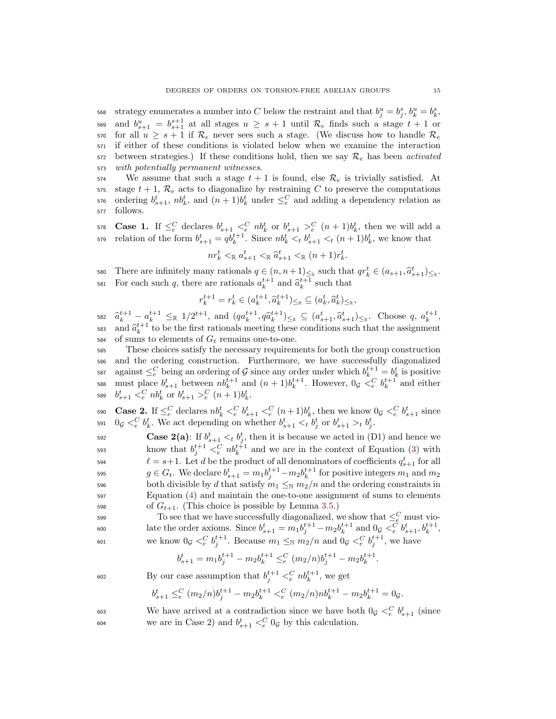568 strategy enumerates a number into C below the restraint and that  $b_j^u = b_j^s$ ,  $b_k^u = b_k^s$ , 569 and  $b_{s+1}^u = b_{s+1}^{s+1}$  at all stages  $u \geq s+1$  until  $\mathcal{R}_e$  finds such a stage  $t+1$  or 570 for all  $u \geq s+1$  if  $\mathcal{R}_e$  never sees such a stage. (We discuss how to handle  $\mathcal{R}_e$ <sup>571</sup> if either of these conditions is violated below when we examine the interaction  $572$  between strategies.) If these conditions hold, then we say  $\mathcal{R}_e$  has been activated <sup>573</sup> with potentially permanent witnesses.

574 We assume that such a stage  $t + 1$  is found, else  $\mathcal{R}_e$  is trivially satisfied. At 575 stage  $t + 1$ ,  $\mathcal{R}_e$  acts to diagonalize by restraining C to preserve the computations 576 ordering  $b_{s+1}^t$ ,  $nb_k^t$ , and  $(n+1)b_k^t$  under  $\leq_e^C$  and adding a dependency relation as <sup>577</sup> follows.

578 **Case 1.** If  $\leq_e^C$  declares  $b_{s+1}^t \leq_e^C nb_k^t$  or  $b_{s+1}^t \geq_e^C (n+1)b_k^t$ , then we will add a  $\mathbf{f}_{s+1} = q b_k^{t+1}$ . Since  $n b_k^t \leq t b_{s+1}^t \leq t (n+1) b_k^t$ , we know that

$$
nr_k^t <_{\mathbb{R}} a_{s+1}^t <_{\mathbb{R}} \hat{a}_{s+1}^t <_{\mathbb{R}} (n+1)r_k^t
$$

.

580 There are infinitely many rationals  $q \in (n, n+1)_{\leq \mathbb{R}}$  such that  $qr_k^t \in (a_{s+1}, \hat{a}_{s+1}^t)_{\leq \mathbb{R}}$ . 581 For each such q, there are rationals  $a_k^{t+1}$  and  $\hat{a}_k^{t+1}$  such that

$$
r_k^{t+1} = r_k^t \in (a_k^{t+1}, \hat{a}_k^{t+1})_{\leq \mathbb{R}} \subseteq (a_k^t, \hat{a}_k^t)_{\leq \mathbb{R}},
$$

 $\hat{a}_{k+1}^{t+1} - a_k^{t+1} \leq R_1/2^{t+1}$ , and  $(qa_k^{t+1}, q\hat{a}_k^{t+1}) \leq R_2 \subseteq (a_{s+1}^t, \hat{a}_{s+1}^t) \leq R$ . Choose q,  $a_k^{t+1}$ , <sup>583</sup> and  $\hat{a}_k^{t+1}$  to be the first rationals meeting these conditions such that the assignment 584 of sums to elements of  $G_t$  remains one-to-one.

<sup>585</sup> These choices satisfy the necessary requirements for both the group construction <sup>586</sup> and the ordering construction. Furthermore, we have successfully diagonalized <sup>587</sup> against  $\leq_e^C$  being an ordering of G since any order under which  $b_k^{t+1} = b_k^t$  is positive 588 must place  $b_{s+1}^t$  between  $nb_k^{t+1}$  and  $(n+1)b_k^{t+1}$ . However,  $0 \circ \leq_e^C b_k^{t+1}$  and either 589  $b_{s+1}^t \leq_e^C n b_k^t$  or  $b_{s+1}^t >_e^C (n+1) b_k^t$ .

590 **Case 2.** If  $\leq_e^C$  declares  $nb_k^t <_e^C b_{s+1}^t <_e^C (n+1)b_k^t$ , then we know  $0 \text{g} <_e^C b_{s+1}^t$  since 591  $0 \text{ or } \langle e^C \rangle_k^t$ . We act depending on whether  $b_{s+1}^t \langle e^C \rangle_k^t$  or  $b_{s+1}^t \rangle_t^t$ 

592 **Case 2(a)**: If  $b_{s+1}^t <_t b_j^t$ , then it is because we acted in (D1) and hence we  $\sum_{j=1}^{593}$  know that  $b_j^{t+1} <sub>e</sub><sup>C</sup> n b_k^{t+1}$  and we are in the context of Equation [\(3\)](#page-10-0) with <sup>594</sup>  $\ell = s+1$ . Let d be the product of all denominators of coefficients  $q_{s+1}^t$  for all <sup>595</sup>  $g \in G_t$ . We declare  $b_{s+1}^t = m_1 b_j^{t+1} - m_2 b_k^{t+1}$  for positive integers  $m_1$  and  $m_2$ 596 both divisible by d that satisfy  $m_1 \leq_\mathbb{N} m_2/n$  and the ordering constraints in <sup>597</sup> Equation [\(4\)](#page-10-2) and maintain the one-to-one assignment of sums to elements 598 of  $G_{t+1}$ . (This choice is possible by Lemma [3.5.](#page-11-0))

To see that we have successfully diagonalized, we show that  $\leq_c^C$  must vio-600 late the order axioms. Since  $b_{s+1}^t = m_1 b_j^{t+1} - m_2 b_k^{t+1}$  and  $0_g <_e^{\tilde{C}} b_{s+1}^t, b_k^{t+1}$ , 601 we know  $0 \text{g} <^C_e b_j^{t+1}$ . Because  $m_1 \leq_N m_2/n$  and  $0 \text{g} <^C_e b_j^{t+1}$ , we have

$$
b_{s+1}^t = m_1 b_j^{t+1} - m_2 b_k^{t+1} \leq_e^C (m_2/n) b_j^{t+1} - m_2 b_k^{t+1}.
$$

$$
602 \t\t By our case assumption that  $b_j^{t+1} <_e^C nb_k^{t+1}$ , we get
$$

$$
b_{s+1}^t \leq_c^C (m_2/n)b_j^{t+1} - m_2b_k^{t+1} \leq_c^C (m_2/n)nb_k^{t+1} - m_2b_k^{t+1} = 0
$$

603 We have arrived at a contradiction since we have both  $0 \text{g} <^C_e b_{s+1}^t$  (since <sup>604</sup> we are in Case 2) and  $b_{s+1}^t <sub>e</sub><sup>C</sup>$  og by this calculation.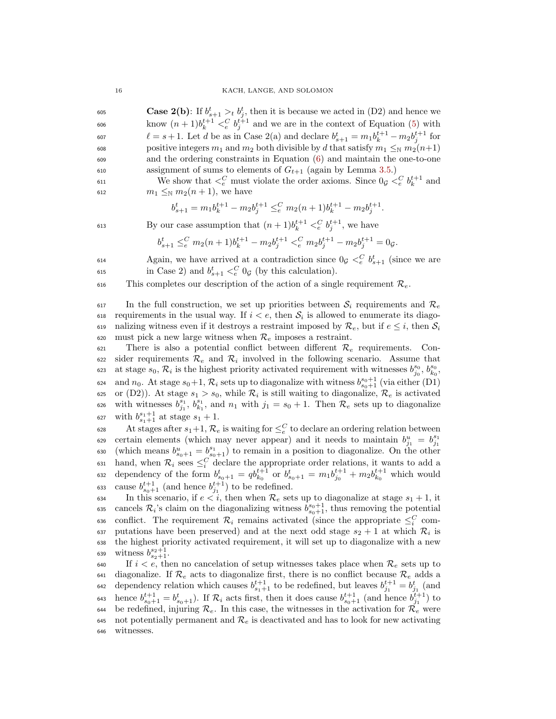#### 16 KACH, LANGE, AND SOLOMON

605 **Case 2(b)**: If  $b_{s+1}^t >_t b_j^t$ , then it is because we acted in (D2) and hence we 606 know  $(n+1)b_k^{t+1} <_e^C b_j^{t+1}$  and we are in the context of Equation [\(5\)](#page-10-1) with 607  $\ell = s + 1$ . Let d be as in Case 2(a) and declare  $b_{s+1}^t = m_1 b_k^{t+1} - m_2 b_j^{t+1}$  for 608 positive integers  $m_1$  and  $m_2$  both divisible by d that satisfy  $m_1 \leq_N m_2(n+1)$ <sup>609</sup> and the ordering constraints in Equation [\(6\)](#page-10-3) and maintain the one-to-one 610 assignment of sums to elements of  $G_{t+1}$  (again by Lemma [3.5.](#page-11-0))

611 We show that  $\langle \xi \rangle$  must violate the order axioms. Since  $0 \circ \langle \xi \rangle b_k^{t+1}$  and 612  $m_1 \leq_{\mathbb{N}} m_2(n+1)$ , we have

$$
b_{s+1}^t = m_1 b_k^{t+1} - m_2 b_j^{t+1} \leq_e^C m_2(n+1) b_k^{t+1} - m_2 b_j^{t+1}.
$$

613 By our case assumption that  $(n+1)b_k^{t+1} <_e^C b_j^{t+1}$ , we have

$$
b_{s+1}^t\leq_e^C m_2(n+1)b_k^{t+1}-m_2b_j^{t+1}<_e^C m_2b_j^{t+1}-m_2b_j^{t+1}=0g.
$$

 $\Delta$  Again, we have arrived at a contradiction since  $0 \circ \langle \xi \atop g \rangle_{s+1}^C$  (since we are 615 in Case 2) and  $b_{s+1}^t \leq_c^C 0_{\mathcal{G}}$  (by this calculation).

616 This completes our description of the action of a single requirement  $\mathcal{R}_e$ .

617 In the full construction, we set up priorities between  $S_i$  requirements and  $\mathcal{R}_e$ Equirements in the usual way. If  $i < e$ , then  $S_i$  is allowed to enumerate its diago-619 nalizing witness even if it destroys a restraint imposed by  $\mathcal{R}_e$ , but if  $e \leq i$ , then  $\mathcal{S}_i$ 620 must pick a new large witness when  $\mathcal{R}_e$  imposes a restraint.

621 There is also a potential conflict between different  $\mathcal{R}_e$  requirements. Con $s22$  sider requirements  $\mathcal{R}_e$  and  $\mathcal{R}_i$  involved in the following scenario. Assume that <sup>623</sup> at stage  $s_0, \mathcal{R}_i$  is the highest priority activated requirement with witnesses  $b_{j_0}^{s_0}, b_{k_0}^{s_0}$ , <sup>624</sup> and  $n_0$ . At stage  $s_0+1$ ,  $\mathcal{R}_i$  sets up to diagonalize with witness  $b_{s_0+1}^{s_0+1}$  (via either (D1) 625 or (D2)). At stage  $s_1 > s_0$ , while  $\mathcal{R}_i$  is still waiting to diagonalize,  $\mathcal{R}_e$  is activated 626 with witnesses  $b_{j_1}^{s_1}, b_{k_1}^{s_1}$ , and  $n_1$  with  $j_1 = s_0 + 1$ . Then  $\mathcal{R}_e$  sets up to diagonalize 627 with  $b_{s_1+1}^{s_1+1}$  at stage  $s_1+1$ .

628 At stages after  $s_1+1$ ,  $\mathcal{R}_e$  is waiting for  $\leq_e^C$  to declare an ordering relation between certain elements (which may never appear) and it needs to maintain  $b_{j_1}^u = b_{j_1}^{s_1}$ 629 630 (which means  $b_{s_0+1}^u = b_{s_0+1}^{s_1}$ ) to remain in a position to diagonalize. On the other 631 hand, when  $\mathcal{R}_i$  sees  $\leq_i^C$  declare the appropriate order relations, it wants to add a 632 dependency of the form  $b_{s_0+1}^t = q b_{k_0}^{t+1}$  or  $b_{s_0+1}^t = m_1 b_{j_0}^{t+1} + m_2 b_{k_0}^{t+1}$  which would 633 cause  $b_{s_0+1}^{t+1}$  (and hence  $b_{j_1}^{t+1}$ ) to be redefined.

634 In this scenario, if  $e < i$ , then when  $\mathcal{R}_e$  sets up to diagonalize at stage  $s_1 + 1$ , it 635 cancels  $\mathcal{R}_i$ 's claim on the diagonalizing witness  $b_{s_0+1}^{s_0+1}$ , thus removing the potential 636 conflict. The requirement  $\mathcal{R}_i$  remains activated (since the appropriate  $\leq_i^C$  com-637 putations have been preserved) and at the next odd stage  $s_2 + 1$  at which  $\mathcal{R}_i$  is <sup>638</sup> the highest priority activated requirement, it will set up to diagonalize with a new 639 witness  $b_{s_2+1}^{s_2+1}$ .

640 If  $i < e$ , then no cancelation of setup witnesses takes place when  $\mathcal{R}_e$  sets up to 641 diagonalize. If  $\mathcal{R}_e$  acts to diagonalize first, there is no conflict because  $\mathcal{R}_e$  adds a 642 dependency relation which causes  $b_{s_1+1}^{t+1}$  to be redefined, but leaves  $b_{j_1}^{t+1} = b_{j_1}^t$  (and 643 hence  $b_{s_0+1}^{t+1} = b_{s_0+1}^t$ . If  $\mathcal{R}_i$  acts first, then it does cause  $b_{s_0+1}^{t+1}$  (and hence  $b_{j_1}^{t+1}$ ) to 644 be redefined, injuring  $\mathcal{R}_e$ . In this case, the witnesses in the activation for  $\mathcal{R}_e$  were 645 not potentially permanent and  $\mathcal{R}_e$  is deactivated and has to look for new activating <sup>646</sup> witnesses.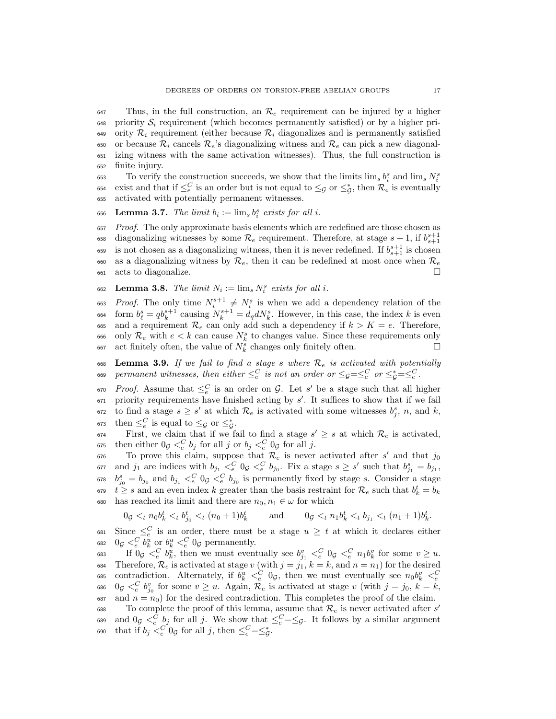$647$  Thus, in the full construction, an  $\mathcal{R}_e$  requirement can be injured by a higher  $\epsilon_{48}$  priority  $\mathcal{S}_i$  requirement (which becomes permanently satisfied) or by a higher pri-649 ority  $\mathcal{R}_i$  requirement (either because  $\mathcal{R}_i$  diagonalizes and is permanently satisfied 650 or because  $\mathcal{R}_i$  cancels  $\mathcal{R}_e$ 's diagonalizing witness and  $\mathcal{R}_e$  can pick a new diagonal-<sup>651</sup> izing witness with the same activation witnesses). Thus, the full construction is <sup>652</sup> finite injury.

To verify the construction succeeds, we show that the limits  $\lim_s b_i^s$  and  $\lim_s N_i^s$ 653 <sup>654</sup> exist and that if  $\leq^C_e$  is an order but is not equal to  $\leq_{\mathcal{G}}$  or  $\leq^*_{\mathcal{G}}$ , then  $\mathcal{R}_e$  is eventually <sup>655</sup> activated with potentially permanent witnesses.

656 Lemma 3.7. The limit  $b_i := \lim_s b_i^s$  exists for all i.

<sup>657</sup> Proof. The only approximate basis elements which are redefined are those chosen as 658 diagonalizing witnesses by some  $\mathcal{R}_e$  requirement. Therefore, at stage  $s + 1$ , if  $b_{s+1}^{s+1}$ 659 is not chosen as a diagonalizing witness, then it is never redefined. If  $b_{s+1}^{s+1}$  is chosen 660 as a diagonalizing witness by  $\mathcal{R}_e$ , then it can be redefined at most once when  $\mathcal{R}_e$ <sup>661</sup> acts to diagonalize.

662 Lemma 3.8. The limit  $N_i := \lim_s N_i^s$  exists for all i.

663 Proof. The only time  $N_i^{s+1} \neq N_i^s$  is when we add a dependency relation of the 664 form  $b_{\ell}^{s} = qb_{k}^{s+1}$  causing  $N_{k}^{s+1} = d_{q}dN_{k}^{s}$ . However, in this case, the index k is even 665 and a requirement  $\mathcal{R}_e$  can only add such a dependency if  $k > K = e$ . Therefore, <sup>666</sup> only  $\mathcal{R}_e$  with  $e < k$  can cause  $N_k^s$  to changes value. Since these requirements only 667 act finitely often, the value of  $N_k^s$  changes only finitely often.

<span id="page-16-0"></span>668 Lemma 3.9. If we fail to find a stage s where  $\mathcal{R}_e$  is activated with potentially  $\epsilon$  permanent witnesses, then either  $\leq_e^C$  is not an order or  $\leq_{\mathcal{G}}=\leq_e^C$  or  $\leq_{\mathcal{G}}^*=\leq_e^C$ .

 $\epsilon_{\text{F}}$   $\epsilon_{\text{F}}$  Proof. Assume that  $\leq_{e}^{C}$  is an order on G. Let s' be a stage such that all higher  $671$  priority requirements have finished acting by  $s'$ . It suffices to show that if we fail 672 to find a stage  $s \geq s'$  at which  $\mathcal{R}_e$  is activated with some witnesses  $b_j^s$ , n, and k, 673 then  $\leq_c^C$  is equal to  $\leq_{\mathcal{G}}$  or  $\leq_{\mathcal{G}}^*$ .

First, we claim that if we fail to find a stage  $s' \geq s$  at which  $\mathcal{R}_e$  is activated, <sup>675</sup> then either  $0 \circ \langle e \rangle$ <sup>C</sup>  $b_j$  for all j or  $b_j \langle e \rangle$ <sup>C</sup>  $0 \circ$  for all j.

 $\sigma$ <sub>676</sub> To prove this claim, suppose that  $\mathcal{R}_e$  is never activated after s' and that  $j_0$  $\sigma$ <sub>57</sub> and  $j_1$  are indices with  $b_{j_1} <^C_e 0$   $\subset \atop e$   $\in b_{j_0}$ . Fix a stage  $s \geq s'$  such that  $b_{j_1}^s = b_{j_1}$ ,  $b_{j_0}^s = b_{j_0}$  and  $b_{j_1} <^C_e 0_{j} <^C_e b_{j_0}$  is permanently fixed by stage s. Consider a stage <sup>679</sup>  $t \geq s$  and an even index k greater than the basis restraint for  $\mathcal{R}_e$  such that  $b_k^t = b_k$ 680 has reached its limit and there are  $n_0, n_1 \in \omega$  for which

$$
0_{\mathcal{G}} <_{t} n_{0} b_{k}^{t} <_{t} b_{j_{0}}^{t} <_{t} (n_{0} + 1)b_{k}^{t} \qquad \text{and} \qquad 0_{\mathcal{G}} <_{t} n_{1} b_{k}^{t} <_{t} b_{j_{1}} <_{t} (n_{1} + 1)b_{k}^{t}.
$$

681 Since  $\leq_e^C$  is an order, there must be a stage  $u \geq t$  at which it declares either 682  $0_{\mathcal{G}} \leq^C_e b^u_k$  or  $b^u_k \leq^C_e 0_{\mathcal{G}}$  permanently.

683 If  $0 \text{g} <^C_e b^u_k$ , then we must eventually see  $b^v_{j_1} <^C_e 0 \text{g} <^C_e n_1 b^v_k$  for some  $v \geq u$ . 684 Therefore,  $\mathcal{R}_e$  is activated at stage v (with  $j = j_1, k = k$ , and  $n = n_1$ ) for the desired contradiction. Alternately, if  $b_k^u \leq_c^C 0_\mathcal{G}$ , then we must eventually see  $n_0 b_k^v \leq_c^C$ 685 686  $0 \text{ or } \langle e \rangle_{j_0}^C$  for some  $v \geq u$ . Again,  $\mathcal{R}_e$  is activated at stage v (with  $j = j_0, k = k$ , 687 and  $n = n_0$ ) for the desired contradiction. This completes the proof of the claim.

To complete the proof of this lemma, assume that  $\mathcal{R}_e$  is never activated after  $s'$ 688 689 and  $0 \circ \leq^C_e b_j$  for all j. We show that  $\leq^C_e = \leq_g$ . It follows by a similar argument 690 that if  $b_j <_e^C 0_\mathcal{G}$  for all j, then  $\leq_e^C = \leq_g^*$ .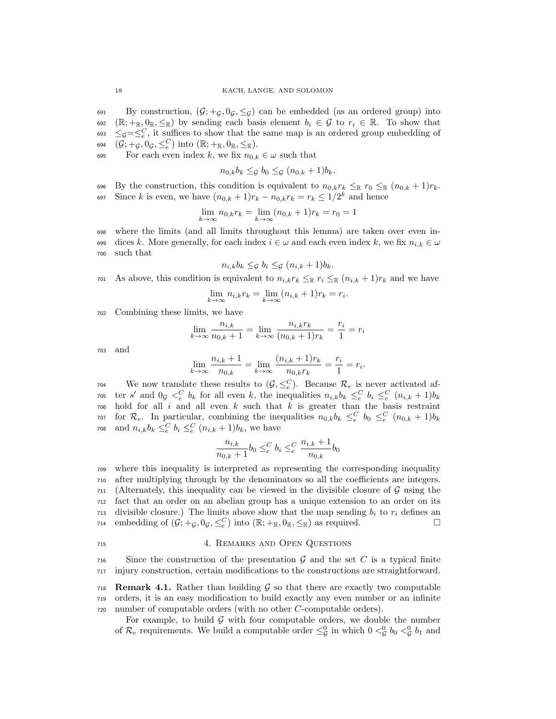691 By construction,  $(\mathcal{G}; +g, 0_g, \leq_g)$  can be embedded (as an ordered group) into 692 ( $\mathbb{R}; +_{\mathbb{R}}, 0_{\mathbb{R}}, \leq_{\mathbb{R}}$ ) by sending each basis element  $b_i \in \mathcal{G}$  to  $r_i \in \mathbb{R}$ . To show that  $\leq_{\mathcal{G}} = \leq_{e}^C$ , it suffices to show that the same map is an ordered group embedding of 694  $(\mathcal{\vec{G}}; +_\mathcal{\vec{G}}, 0_\mathcal{\vec{G}}, \leq^C_e)$  into  $(\mathbb{R}; +_\mathbb{R}, 0_\mathbb{R}, \leq_\mathbb{R})$ .

695 For each even index k, we fix  $n_{0,k} \in \omega$  such that

$$
n_{0,k}b_k \leq_{\mathcal{G}} b_0 \leq_{\mathcal{G}} (n_{0,k}+1)b_k.
$$

696 By the construction, this condition is equivalent to  $n_{0,k}r_k \leq_R r_0 \leq_R (n_{0,k} + 1)r_k$ . 697 Since k is even, we have  $(n_{0,k}+1)r_k - n_{0,k}r_k = r_k \leq 1/2^k$  and hence

$$
\lim_{k \to \infty} n_{0,k} r_k = \lim_{k \to \infty} (n_{0,k} + 1) r_k = r_0 = 1
$$

<sup>698</sup> where the limits (and all limits throughout this lemma) are taken over even in-699 dices k. More generally, for each index  $i \in \omega$  and each even index k, we fix  $n_{i,k} \in \omega$ <sup>700</sup> such that

$$
n_{i,k}b_k \leq_{\mathcal{G}} b_i \leq_{\mathcal{G}} (n_{i,k}+1)b_k.
$$

701 As above, this condition is equivalent to  $n_{i,k}r_k \leq_R r_i \leq_R (n_{i,k} + 1)r_k$  and we have

$$
\lim_{k \to \infty} n_{i,k} r_k = \lim_{k \to \infty} (n_{i,k} + 1) r_k = r_i.
$$

<sup>702</sup> Combining these limits, we have

$$
\lim_{k \to \infty} \frac{n_{i,k}}{n_{0,k} + 1} = \lim_{k \to \infty} \frac{n_{i,k}r_k}{(n_{0,k} + 1)r_k} = \frac{r_i}{1} = r_i
$$

<sup>703</sup> and

$$
\lim_{k \to \infty} \frac{n_{i,k} + 1}{n_{0,k}} = \lim_{k \to \infty} \frac{(n_{i,k} + 1)r_k}{n_{0,k}r_k} = \frac{r_i}{1} = r_i.
$$

 $\mathcal{T}_{\text{04}}$  We now translate these results to  $(\mathcal{G}, \leq_e^C)$ . Because  $\mathcal{R}_e$  is never activated afros ter s' and  $0 \text{g } \lt_{e}^{C} b_{k}$  for all even k, the inequalities  $n_{i,k} b_{k} \leq_{e}^{C} b_{i} \leq_{e}^{C} (n_{i,k} + 1) b_{k}$  $706$  hold for all i and all even k such that k is greater than the basis restraint <sup>707</sup> for  $\mathcal{R}_e$ . In particular, combining the inequalities  $n_{0,k}b_k \leq_e^C b_0 \leq_e^C (n_{0,k}+1)b_k$ <sup>708</sup> and  $n_{i,k}b_k \leq_{e}^C b_i \leq_{e}^C (n_{i,k} + 1)b_k$ , we have

$$
\frac{n_{i,k}}{n_{0,k}+1}b_0 \leq^C_e b_i \leq^C_e \frac{n_{i,k}+1}{n_{0,k}}b_0
$$

 where this inequality is interpreted as representing the corresponding inequality after multiplying through by the denominators so all the coefficients are integers. (Alternately, this inequality can be viewed in the divisible closure of  $\mathcal G$  using the fact that an order on an abelian group has a unique extension to an order on its divisible closure.) The limits above show that the map sending  $b_i$  to  $r_i$  defines an 714 embedding of  $(\mathcal{G}, +_{\mathcal{G}}, 0_{\mathcal{G}}, \leq^C_{\epsilon})$  into  $(\mathbb{R}; +_{\mathbb{R}}, 0_{\mathbb{R}}, \leq_{\mathbb{R}})$  as required.

## <span id="page-17-0"></span><sup>715</sup> 4. Remarks and Open Questions

 $716$  Since the construction of the presentation G and the set C is a typical finite <sup>717</sup> injury construction, certain modifications to the constructions are straightforward.

<span id="page-17-1"></span>718 **Remark 4.1.** Rather than building  $\mathcal{G}$  so that there are exactly two computable <sup>719</sup> orders, it is an easy modification to build exactly any even number or an infinite <sup>720</sup> number of computable orders (with no other C-computable orders).

For example, to build  $\mathcal G$  with four computable orders, we double the number of  $\mathcal{R}_e$  requirements. We build a computable order  $\leq^0_{\mathcal{G}}$  in which  $0 <^0_{\mathcal{G}} b_0 <^0_{\mathcal{G}} b_1$  and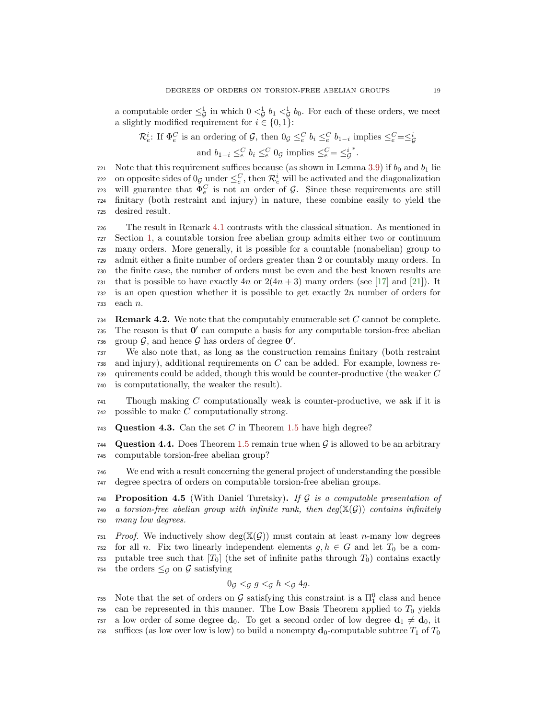a computable order  $\leq^1_{\mathcal{G}}$  in which  $0 <^1_{\mathcal{G}} b_1 <^1_{\mathcal{G}} b_0$ . For each of these orders, we meet a slightly modified requirement for  $i \in \{0,1\}$ :

 $\mathcal{R}_e^i$ : If  $\Phi_e^C$  is an ordering of  $\mathcal{G}$ , then  $0_{\mathcal{G}} \leq_e^C b_i \leq_e^C b_{1-i}$  implies  $\leq_e^C = \leq_g^i$ 

and  $b_{1-i} \leq_c^C b_i \leq_c^C 0$ g implies  $\leq_c^C = \leq_c^i$ ∗ .

721 Note that this requirement suffices because (as shown in Lemma [3.9\)](#page-16-0) if  $b_0$  and  $b_1$  lie <sup>722</sup> on opposite sides of  $0_g$  under  $\leq_e^C$ , then  $\mathcal{R}_e^i$  will be activated and the diagonalization  $\gamma$ <sub>23</sub> will guarantee that  $\Phi_e^C$  is not an order of G. Since these requirements are still <sup>724</sup> finitary (both restraint and injury) in nature, these combine easily to yield the <sup>725</sup> desired result.

 The result in Remark [4.1](#page-17-1) contrasts with the classical situation. As mentioned in Section [1,](#page-0-0) a countable torsion free abelian group admits either two or continuum many orders. More generally, it is possible for a countable (nonabelian) group to admit either a finite number of orders greater than 2 or countably many orders. In the finite case, the number of orders must be even and the best known results are that is possible to have exactly  $4n$  or  $2(4n+3)$  many orders (see [\[17\]](#page-20-12) and [\[21\]](#page-20-13)). It is an open question whether it is possible to get exactly 2n number of orders for <sup>733</sup> each n.

734 Remark 4.2. We note that the computably enumerable set  $C$  cannot be complete. 735 The reason is that  $0'$  can compute a basis for any computable torsion-free abelian 736 group  $\mathcal{G}$ , and hence  $\mathcal{G}$  has orders of degree  $\mathbf{0}'$ .

 We also note that, as long as the construction remains finitary (both restraint and injury), additional requirements on C can be added. For example, lowness re- quirements could be added, though this would be counter-productive (the weaker  $C$ is computationally, the weaker the result).

<sup>741</sup> Though making C computationally weak is counter-productive, we ask if it is <sup>742</sup> possible to make C computationally strong.

743 Question 4.3. Can the set C in Theorem [1.5](#page-3-0) have high degree?

744 Question 4.4. Does Theorem [1.5](#page-3-0) remain true when  $\mathcal G$  is allowed to be an arbitrary <sup>745</sup> computable torsion-free abelian group?

<sup>746</sup> We end with a result concerning the general project of understanding the possible <sup>747</sup> degree spectra of orders on computable torsion-free abelian groups.

<span id="page-18-0"></span>748 **Proposition 4.5** (With Daniel Turetsky). If G is a computable presentation of 749 a torsion-free abelian group with infinite rank, then  $deg(X(\mathcal{G}))$  contains infinitely <sup>750</sup> many low degrees.

 $751$  Proof. We inductively show deg( $\mathbb{X}(\mathcal{G})$ ) must contain at least *n*-many low degrees  $752$  for all n. Fix two linearly independent elements  $g, h \in G$  and let  $T_0$  be a com-753 putable tree such that  $[T_0]$  (the set of infinite paths through  $T_0$ ) contains exactly 754 the orders  $\leq_{\mathcal{G}}$  on  $\mathcal{G}$  satisfying

$$
0_{\mathcal{G}} <_{\mathcal{G}} g <_{\mathcal{G}} h <_{\mathcal{G}} 4g.
$$

755 Note that the set of orders on  $\mathcal G$  satisfying this constraint is a  $\Pi_1^0$  class and hence  $756$  can be represented in this manner. The Low Basis Theorem applied to  $T_0$  yields 757 a low order of some degree  $\mathbf{d}_0$ . To get a second order of low degree  $\mathbf{d}_1 \neq \mathbf{d}_0$ , it 758 suffices (as low over low is low) to build a nonempty  $\mathbf{d}_0$ -computable subtree  $T_1$  of  $T_0$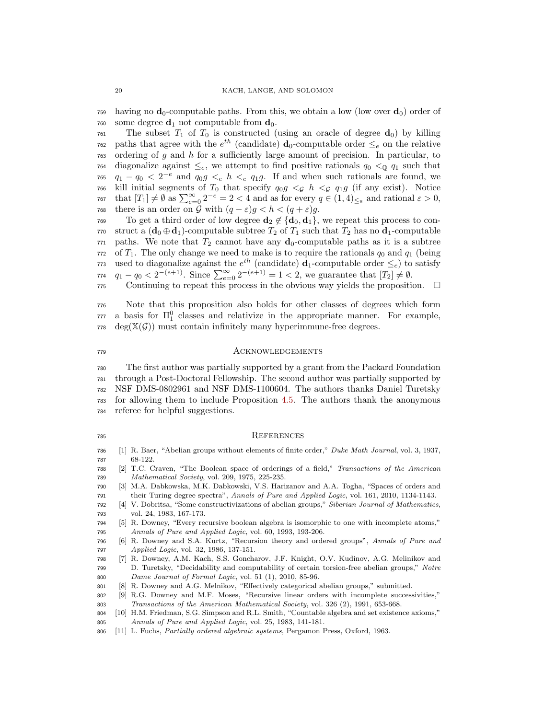having no  $\mathbf{d}_0$ -computable paths. From this, we obtain a low (low over  $\mathbf{d}_0$ ) order of 760 some degree  $\mathbf{d}_1$  not computable from  $\mathbf{d}_0$ .

 The subset  $T_1$  of  $T_0$  is constructed (using an oracle of degree  $d_0$ ) by killing <sup>762</sup> paths that agree with the  $e^{th}$  (candidate)  $\mathbf{d}_0$ -computable order  $\leq_e$  on the relative ordering of g and h for a sufficiently large amount of precision. In particular, to diagonalize against  $\leq_e$ , we attempt to find positive rationals  $q_0 < q_1$  such that  $q_1 - q_0 < 2^{-e}$  and  $q_0g \lt_e h \lt_e q_1g$ . If and when such rationals are found, we 766 kill initial segments of  $T_0$  that specify  $q_0q \leq g h \leq g q_1g$  (if any exist). Notice  $\tau$ <sub>67</sub> that  $[T_1] \neq \emptyset$  as  $\sum_{e=0}^{\infty} 2^{-e} = 2 < 4$  and as for every  $q \in (1, 4)_{\leq \mathbb{R}}$  and rational  $\varepsilon > 0$ , 768 there is an order on G with  $(q - \varepsilon)g < h < (q + \varepsilon)g$ .

769 To get a third order of low degree  $\mathbf{d}_2 \notin \{\mathbf{d}_0, \mathbf{d}_1\}$ , we repeat this process to con-770 struct a  $(\mathbf{d}_0 \oplus \mathbf{d}_1)$ -computable subtree  $T_2$  of  $T_1$  such that  $T_2$  has no  $\mathbf{d}_1$ -computable paths. We note that  $T_2$  cannot have any  $d_0$ -computable paths as it is a subtree of  $T_1$ . The only change we need to make is to require the rationals  $q_0$  and  $q_1$  (being <sup>773</sup> used to diagonalize against the  $e^{th}$  (candidate)  $d_1$ -computable order  $\leq_e$ ) to satisfy  $q_1 - q_0 < 2^{-(e+1)}$ . Since  $\sum_{e=0}^{\infty} 2^{-(e+1)} = 1 < 2$ , we guarantee that  $[T_2] \neq \emptyset$ .

775 Continuing to repeat this process in the obvious way yields the proposition.  $\Box$ 

 Note that this proposition also holds for other classes of degrees which form a basis for  $\Pi_1^0$  classes and relativize in the appropriate manner. For example,  $778 \text{ deg}(\mathbb{X}(\mathcal{G}))$  must contain infinitely many hyperimmune-free degrees.

#### Acknowledgements

 The first author was partially supported by a grant from the Packard Foundation through a Post-Doctoral Fellowship. The second author was partially supported by NSF DMS-0802961 and NSF DMS-1100604. The authors thanks Daniel Turetsky for allowing them to include Proposition [4.5.](#page-18-0) The authors thank the anonymous referee for helpful suggestions.

### References

- <span id="page-19-10"></span> [1] R. Baer, "Abelian groups without elements of finite order," Duke Math Journal, vol. 3, 1937, 68-122.
- <span id="page-19-5"></span> [2] T.C. Craven, "The Boolean space of orderings of a field," Transactions of the American Mathematical Society, vol. 209, 1975, 225-235.
- <span id="page-19-7"></span> [3] M.A. Dabkowska, M.K. Dabkowski, V.S. Harizanov and A.A. Togha, "Spaces of orders and their Turing degree spectra", Annals of Pure and Applied Logic, vol. 161, 2010, 1134-1143.
- <span id="page-19-2"></span> [4] V. Dobritsa, "Some constructivizations of abelian groups," Siberian Journal of Mathematics, vol. 24, 1983, 167-173.
- <span id="page-19-1"></span> [5] R. Downey, "Every recursive boolean algebra is isomorphic to one with incomplete atoms," Annals of Pure and Applied Logic, vol. 60, 1993, 193-206.
- <span id="page-19-4"></span> [6] R. Downey and S.A. Kurtz, "Recursion theory and ordered groups", Annals of Pure and Applied Logic, vol. 32, 1986, 137-151.
- <span id="page-19-8"></span> [7] R. Downey, A.M. Kach, S.S. Goncharov, J.F. Knight, O.V. Kudinov, A.G. Melinikov and D. Turetsky, "Decidability and computability of certain torsion-free abelian groups," Notre Dame Journal of Formal Logic, vol. 51 (1), 2010, 85-96.
- <span id="page-19-9"></span>[8] R. Downey and A.G. Melnikov, "Effectively categorical abelian groups," submitted.
- <span id="page-19-0"></span> [9] R.G. Downey and M.F. Moses, "Recursive linear orders with incomplete successivities," Transactions of the American Mathematical Society, vol. 326 (2), 1991, 653-668.
- <span id="page-19-6"></span> [10] H.M. Friedman, S.G. Simpson and R.L. Smith, "Countable algebra and set existence axioms," Annals of Pure and Applied Logic, vol. 25, 1983, 141-181.
- <span id="page-19-3"></span>[11] L. Fuchs, Partially ordered algebraic systems, Pergamon Press, Oxford, 1963.